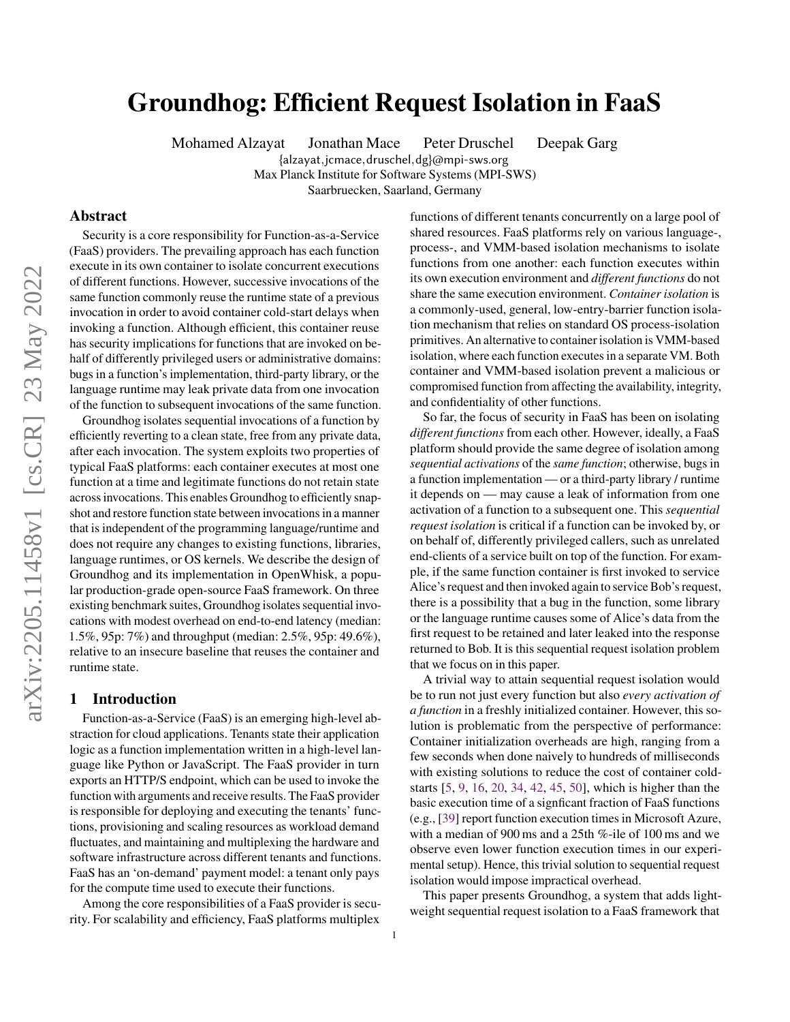# <span id="page-0-0"></span>Groundhog: Efficient Request Isolation in FaaS

Mohamed Alzayat Jonathan Mace Peter Druschel Deepak Garg

{alzayat,jcmace,druschel,dg}@mpi-sws.org Max Planck Institute for Software Systems (MPI-SWS)

Saarbruecken, Saarland, Germany

# Abstract

Security is a core responsibility for Function-as-a-Service (FaaS) providers. The prevailing approach has each function execute in its own container to isolate concurrent executions of different functions. However, successive invocations of the same function commonly reuse the runtime state of a previous invocation in order to avoid container cold-start delays when invoking a function. Although efficient, this container reuse has security implications for functions that are invoked on behalf of differently privileged users or administrative domains: bugs in a function's implementation, third-party library, or the language runtime may leak private data from one invocation of the function to subsequent invocations of the same function.

Groundhog isolates sequential invocations of a function by efficiently reverting to a clean state, free from any private data, after each invocation. The system exploits two properties of typical FaaS platforms: each container executes at most one function at a time and legitimate functions do not retain state across invocations. This enables Groundhog to efficiently snapshot and restore function state between invocations in a manner that is independent of the programming language/runtime and does not require any changes to existing functions, libraries, language runtimes, or OS kernels. We describe the design of Groundhog and its implementation in OpenWhisk, a popular production-grade open-source FaaS framework. On three existing benchmark suites, Groundhog isolates sequential invocations with modest overhead on end-to-end latency (median: 1.5%, 95p: 7%) and throughput (median: 2.5%, 95p: 49.6%), relative to an insecure baseline that reuses the container and runtime state.

# 1 Introduction

Function-as-a-Service (FaaS) is an emerging high-level abstraction for cloud applications. Tenants state their application logic as a function implementation written in a high-level language like Python or JavaScript. The FaaS provider in turn exports an HTTP/S endpoint, which can be used to invoke the function with arguments and receive results. The FaaS provider is responsible for deploying and executing the tenants' functions, provisioning and scaling resources as workload demand fluctuates, and maintaining and multiplexing the hardware and software infrastructure across different tenants and functions. FaaS has an 'on-demand' payment model: a tenant only pays for the compute time used to execute their functions.

Among the core responsibilities of a FaaS provider is security. For scalability and efficiency, FaaS platforms multiplex

functions of different tenants concurrently on a large pool of shared resources. FaaS platforms rely on various language-, process-, and VMM-based isolation mechanisms to isolate functions from one another: each function executes within its own execution environment and *different functions* do not share the same execution environment. *Container isolation* is a commonly-used, general, low-entry-barrier function isolation mechanism that relies on standard OS process-isolation primitives. An alternative to container isolation is VMM-based isolation, where each function executes in a separate VM. Both container and VMM-based isolation prevent a malicious or compromised function from affecting the availability, integrity, and confidentiality of other functions.

So far, the focus of security in FaaS has been on isolating *different functions* from each other. However, ideally, a FaaS platform should provide the same degree of isolation among *sequential activations* of the *same function*; otherwise, bugs in a function implementation — or a third-party library / runtime it depends on — may cause a leak of information from one activation of a function to a subsequent one. This *sequential request isolation* is critical if a function can be invoked by, or on behalf of, differently privileged callers, such as unrelated end-clients of a service built on top of the function. For example, if the same function container is first invoked to service Alice's request and then invoked again to service Bob's request, there is a possibility that a bug in the function, some library or the language runtime causes some of Alice's data from the first request to be retained and later leaked into the response returned to Bob. It is this sequential request isolation problem that we focus on in this paper.

A trivial way to attain sequential request isolation would be to run not just every function but also *every activation of a function* in a freshly initialized container. However, this solution is problematic from the perspective of performance: Container initialization overheads are high, ranging from a few seconds when done naively to hundreds of milliseconds with existing solutions to reduce the cost of container coldstarts [\[5,](#page-12-0) [9,](#page-12-1) [16,](#page-12-2) [20,](#page-12-3) [34,](#page-12-4) [42,](#page-13-0) [45,](#page-13-1) [50\]](#page-13-2), which is higher than the basic execution time of a signficant fraction of FaaS functions (e.g., [\[39\]](#page-13-3) report function execution times in Microsoft Azure, with a median of 900 ms and a 25th %-ile of 100 ms and we observe even lower function execution times in our experimental setup). Hence, this trivial solution to sequential request isolation would impose impractical overhead.

This paper presents Groundhog, a system that adds lightweight sequential request isolation to a FaaS framework that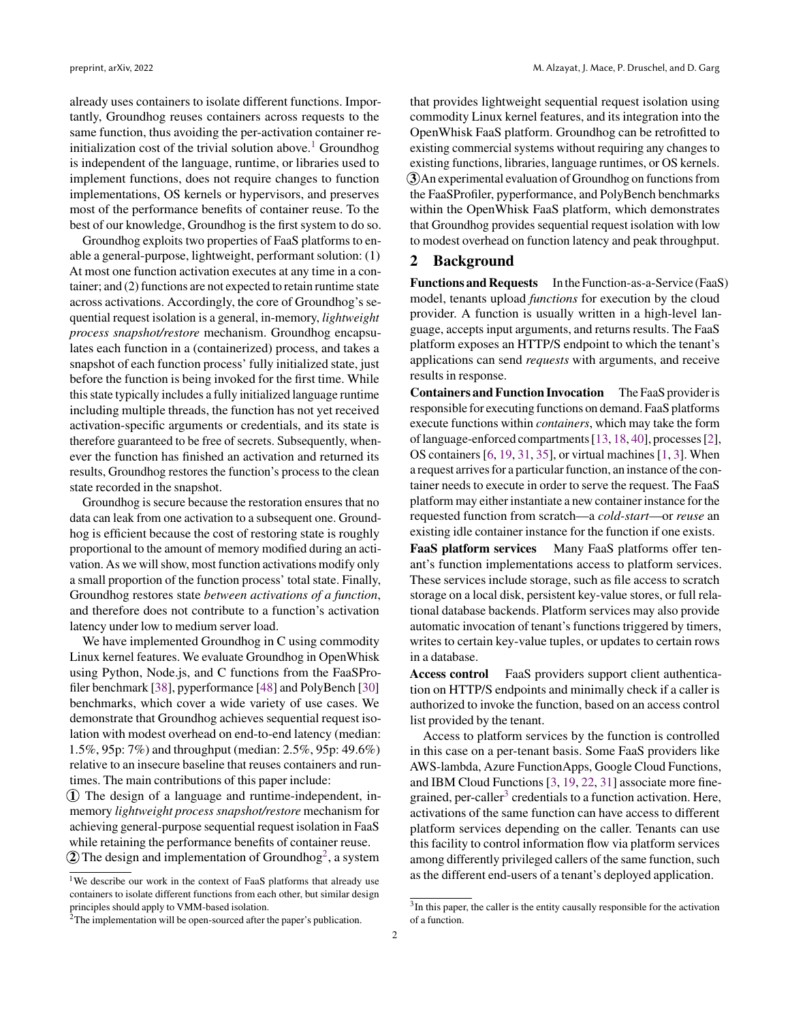already uses containers to isolate different functions. Importantly, Groundhog reuses containers across requests to the same function, thus avoiding the per-activation container re-initialization cost of the trivial solution above.<sup>[1](#page-0-0)</sup> Groundhog is independent of the language, runtime, or libraries used to implement functions, does not require changes to function implementations, OS kernels or hypervisors, and preserves most of the performance benefits of container reuse. To the best of our knowledge, Groundhog is the first system to do so.

Groundhog exploits two properties of FaaS platforms to enable a general-purpose, lightweight, performant solution: (1) At most one function activation executes at any time in a container; and (2) functions are not expected to retain runtime state across activations. Accordingly, the core of Groundhog's sequential request isolation is a general, in-memory, *lightweight process snapshot/restore* mechanism. Groundhog encapsulates each function in a (containerized) process, and takes a snapshot of each function process' fully initialized state, just before the function is being invoked for the first time. While this state typically includes a fully initialized language runtime including multiple threads, the function has not yet received activation-specific arguments or credentials, and its state is therefore guaranteed to be free of secrets. Subsequently, whenever the function has finished an activation and returned its results, Groundhog restores the function's process to the clean state recorded in the snapshot.

Groundhog is secure because the restoration ensures that no data can leak from one activation to a subsequent one. Groundhog is efficient because the cost of restoring state is roughly proportional to the amount of memory modified during an activation. As we will show, most function activations modify only a small proportion of the function process' total state. Finally, Groundhog restores state *between activations of a function*, and therefore does not contribute to a function's activation latency under low to medium server load.

We have implemented Groundhog in C using commodity Linux kernel features. We evaluate Groundhog in OpenWhisk using Python, Node.js, and C functions from the FaaSProfiler benchmark [\[38\]](#page-12-5), pyperformance [\[48\]](#page-13-4) and PolyBench [\[30\]](#page-12-6) benchmarks, which cover a wide variety of use cases. We demonstrate that Groundhog achieves sequential request isolation with modest overhead on end-to-end latency (median: 1.5%, 95p: 7%) and throughput (median: 2.5%, 95p: 49.6%) relative to an insecure baseline that reuses containers and runtimes. The main contributions of this paper include:

 $(1)$  The design of a language and runtime-independent, inmemory *lightweight process snapshot/restore* mechanism for achieving general-purpose sequential request isolation in FaaS while retaining the performance benefits of container reuse.

 $\widehat{2}$  $\widehat{2}$  $\widehat{2}$ ) The design and implementation of Groundhog<sup>2</sup>, a system

that provides lightweight sequential request isolation using commodity Linux kernel features, and its integration into the OpenWhisk FaaS platform. Groundhog can be retrofitted to existing commercial systems without requiring any changes to existing functions, libraries, language runtimes, or OS kernels. 3 An experimental evaluation of Groundhog on functions from the FaaSProfiler, pyperformance, and PolyBench benchmarks within the OpenWhisk FaaS platform, which demonstrates that Groundhog provides sequential request isolation with low to modest overhead on function latency and peak throughput.

# 2 Background

Functions and Requests In the Function-as-a-Service (FaaS) model, tenants upload *functions* for execution by the cloud provider. A function is usually written in a high-level language, accepts input arguments, and returns results. The FaaS platform exposes an HTTP/S endpoint to which the tenant's applications can send *requests* with arguments, and receive results in response.

Containers and Function Invocation The FaaS provider is responsible for executing functions on demand. FaaS platforms execute functions within *containers*, which may take the form of language-enforced compartments [\[13,](#page-12-7) [18,](#page-12-8) [40\]](#page-13-5), processes [\[2\]](#page-12-9), OS containers [\[6,](#page-12-10) [19,](#page-12-11) [31,](#page-12-12) [35\]](#page-12-13), or virtual machines [\[1,](#page-12-14) [3\]](#page-12-15). When a request arrives for a particular function, an instance of the container needs to execute in order to serve the request. The FaaS platform may either instantiate a new container instance for the requested function from scratch—a *cold-start*—or *reuse* an existing idle container instance for the function if one exists.

FaaS platform services Many FaaS platforms offer tenant's function implementations access to platform services. These services include storage, such as file access to scratch storage on a local disk, persistent key-value stores, or full relational database backends. Platform services may also provide automatic invocation of tenant's functions triggered by timers, writes to certain key-value tuples, or updates to certain rows in a database.

Access control FaaS providers support client authentication on HTTP/S endpoints and minimally check if a caller is authorized to invoke the function, based on an access control list provided by the tenant.

Access to platform services by the function is controlled in this case on a per-tenant basis. Some FaaS providers like AWS-lambda, Azure FunctionApps, Google Cloud Functions, and IBM Cloud Functions [\[3,](#page-12-15) [19,](#page-12-11) [22,](#page-12-16) [31\]](#page-12-12) associate more fine-grained, per-caller<sup>[3](#page-0-0)</sup> credentials to a function activation. Here, activations of the same function can have access to different platform services depending on the caller. Tenants can use this facility to control information flow via platform services among differently privileged callers of the same function, such as the different end-users of a tenant's deployed application.

<sup>&</sup>lt;sup>1</sup>We describe our work in the context of FaaS platforms that already use containers to isolate different functions from each other, but similar design principles should apply to VMM-based isolation.

<sup>&</sup>lt;sup>3</sup>In this paper, the caller is the entity causally responsible for the activation of a function.

 $2$ The implementation will be open-sourced after the paper's publication.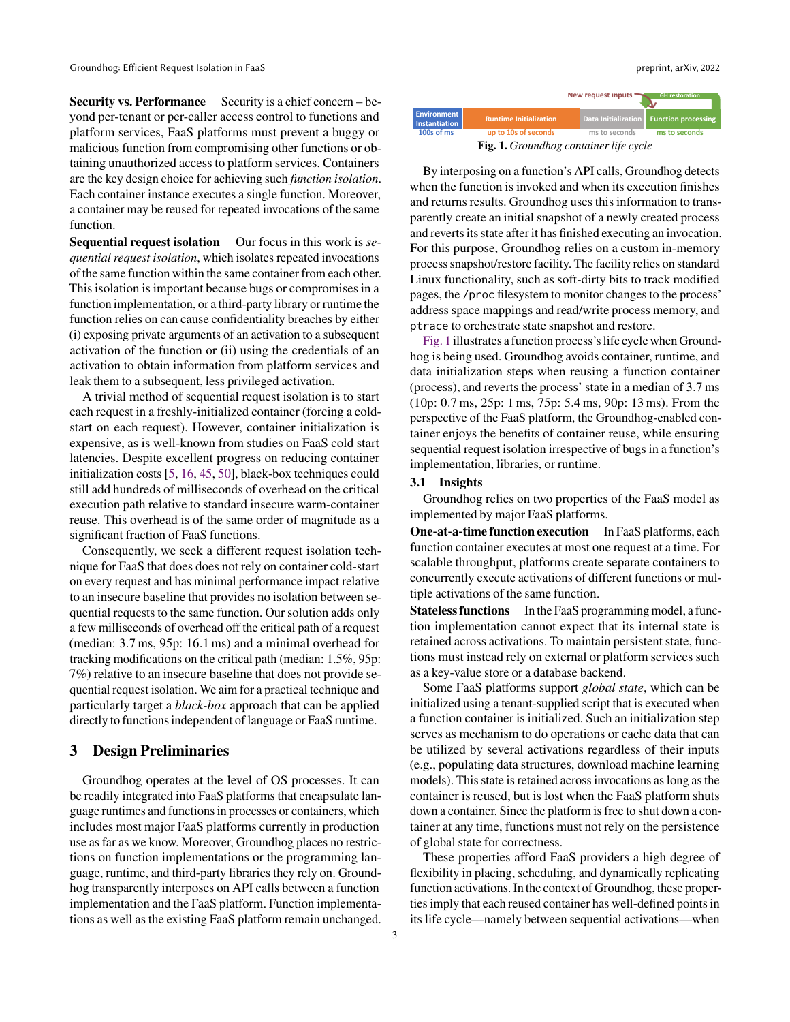Security vs. Performance Security is a chief concern – beyond per-tenant or per-caller access control to functions and platform services, FaaS platforms must prevent a buggy or malicious function from compromising other functions or obtaining unauthorized access to platform services. Containers are the key design choice for achieving such *function isolation*. Each container instance executes a single function. Moreover, a container may be reused for repeated invocations of the same function.

Sequential request isolation Our focus in this work is *sequential request isolation*, which isolates repeated invocations of the same function within the same container from each other. This isolation is important because bugs or compromises in a function implementation, or a third-party library or runtime the function relies on can cause confidentiality breaches by either (i) exposing private arguments of an activation to a subsequent activation of the function or (ii) using the credentials of an activation to obtain information from platform services and leak them to a subsequent, less privileged activation.

A trivial method of sequential request isolation is to start each request in a freshly-initialized container (forcing a coldstart on each request). However, container initialization is expensive, as is well-known from studies on FaaS cold start latencies. Despite excellent progress on reducing container initialization costs [\[5,](#page-12-0) [16,](#page-12-2) [45,](#page-13-1) [50\]](#page-13-2), black-box techniques could still add hundreds of milliseconds of overhead on the critical execution path relative to standard insecure warm-container reuse. This overhead is of the same order of magnitude as a significant fraction of FaaS functions.

Consequently, we seek a different request isolation technique for FaaS that does does not rely on container cold-start on every request and has minimal performance impact relative to an insecure baseline that provides no isolation between sequential requests to the same function. Our solution adds only a few milliseconds of overhead off the critical path of a request (median: 3.7 ms, 95p: 16.1 ms) and a minimal overhead for tracking modifications on the critical path (median: 1.5%, 95p: 7%) relative to an insecure baseline that does not provide sequential request isolation. We aim for a practical technique and particularly target a *black-box* approach that can be applied directly to functions independent of language or FaaS runtime.

# 3 Design Preliminaries

Groundhog operates at the level of OS processes. It can be readily integrated into FaaS platforms that encapsulate language runtimes and functions in processes or containers, which includes most major FaaS platforms currently in production use as far as we know. Moreover, Groundhog places no restrictions on function implementations or the programming language, runtime, and third-party libraries they rely on. Groundhog transparently interposes on API calls between a function implementation and the FaaS platform. Function implementations as well as the existing FaaS platform remain unchanged.

<span id="page-2-0"></span>

By interposing on a function's API calls, Groundhog detects when the function is invoked and when its execution finishes and returns results. Groundhog uses this information to transparently create an initial snapshot of a newly created process and reverts its state after it has finished executing an invocation. For this purpose, Groundhog relies on a custom in-memory process snapshot/restore facility. The facility relies on standard Linux functionality, such as soft-dirty bits to track modified pages, the /proc filesystem to monitor changes to the process' address space mappings and read/write process memory, and ptrace to orchestrate state snapshot and restore.

[Fig. 1](#page-2-0) illustrates a function process's life cycle when Groundhog is being used. Groundhog avoids container, runtime, and data initialization steps when reusing a function container (process), and reverts the process' state in a median of 3.7 ms (10p: 0.7 ms, 25p: 1 ms, 75p: 5.4 ms, 90p: 13 ms). From the perspective of the FaaS platform, the Groundhog-enabled container enjoys the benefits of container reuse, while ensuring sequential request isolation irrespective of bugs in a function's implementation, libraries, or runtime.

#### 3.1 Insights

Groundhog relies on two properties of the FaaS model as implemented by major FaaS platforms.

One-at-a-time function execution In FaaS platforms, each function container executes at most one request at a time. For scalable throughput, platforms create separate containers to concurrently execute activations of different functions or multiple activations of the same function.

Stateless functions In the FaaS programming model, a function implementation cannot expect that its internal state is retained across activations. To maintain persistent state, functions must instead rely on external or platform services such as a key-value store or a database backend.

Some FaaS platforms support *global state*, which can be initialized using a tenant-supplied script that is executed when a function container is initialized. Such an initialization step serves as mechanism to do operations or cache data that can be utilized by several activations regardless of their inputs (e.g., populating data structures, download machine learning models). This state is retained across invocations as long as the container is reused, but is lost when the FaaS platform shuts down a container. Since the platform is free to shut down a container at any time, functions must not rely on the persistence of global state for correctness.

These properties afford FaaS providers a high degree of flexibility in placing, scheduling, and dynamically replicating function activations. In the context of Groundhog, these properties imply that each reused container has well-defined points in its life cycle—namely between sequential activations—when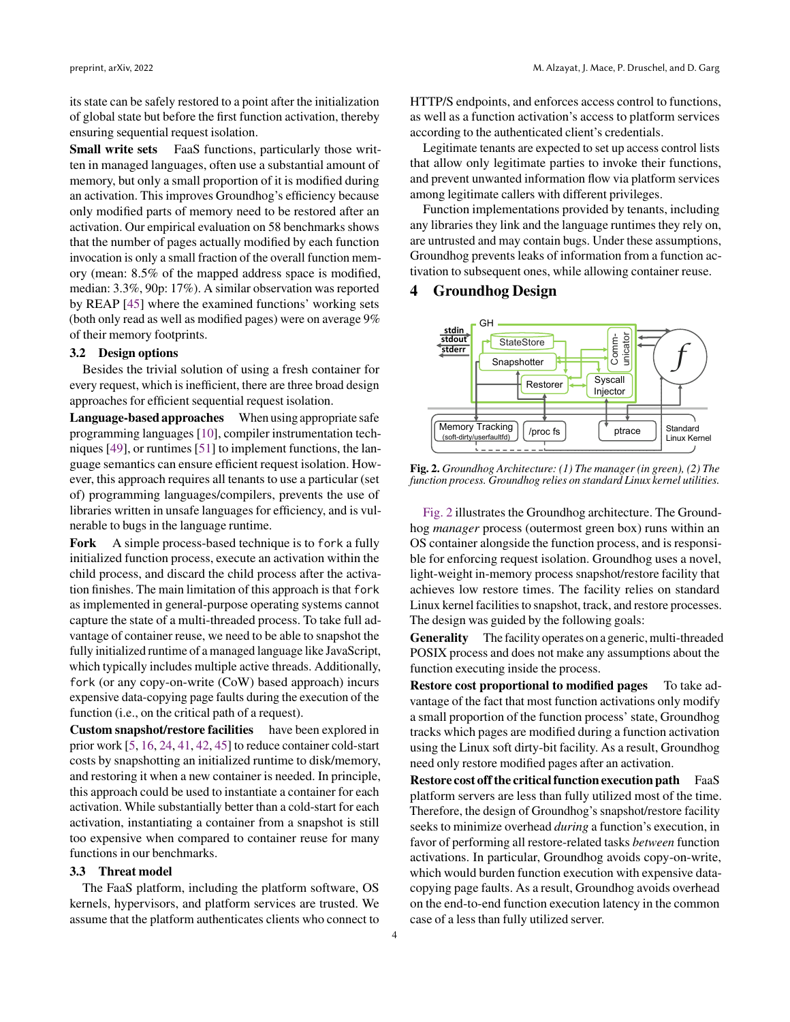its state can be safely restored to a point after the initialization of global state but before the first function activation, thereby ensuring sequential request isolation.

Small write sets FaaS functions, particularly those written in managed languages, often use a substantial amount of memory, but only a small proportion of it is modified during an activation. This improves Groundhog's efficiency because only modified parts of memory need to be restored after an activation. Our empirical evaluation on 58 benchmarks shows that the number of pages actually modified by each function invocation is only a small fraction of the overall function memory (mean: 8.5% of the mapped address space is modified, median: 3.3%, 90p: 17%). A similar observation was reported by REAP [\[45\]](#page-13-1) where the examined functions' working sets (both only read as well as modified pages) were on average 9% of their memory footprints.

## <span id="page-3-1"></span>3.2 Design options

Besides the trivial solution of using a fresh container for every request, which is inefficient, there are three broad design approaches for efficient sequential request isolation.

Language-based approaches When using appropriate safe programming languages [\[10\]](#page-12-17), compiler instrumentation techniques [\[49\]](#page-13-6), or runtimes [\[51\]](#page-13-7) to implement functions, the language semantics can ensure efficient request isolation. However, this approach requires all tenants to use a particular (set of) programming languages/compilers, prevents the use of libraries written in unsafe languages for efficiency, and is vulnerable to bugs in the language runtime.

Fork A simple process-based technique is to fork a fully initialized function process, execute an activation within the child process, and discard the child process after the activation finishes. The main limitation of this approach is that fork as implemented in general-purpose operating systems cannot capture the state of a multi-threaded process. To take full advantage of container reuse, we need to be able to snapshot the fully initialized runtime of a managed language like JavaScript, which typically includes multiple active threads. Additionally, fork (or any copy-on-write (CoW) based approach) incurs expensive data-copying page faults during the execution of the function (i.e., on the critical path of a request).

Custom snapshot/restore facilities have been explored in prior work [\[5,](#page-12-0) [16,](#page-12-2) [24,](#page-12-18) [41,](#page-13-8) [42,](#page-13-0) [45\]](#page-13-1) to reduce container cold-start costs by snapshotting an initialized runtime to disk/memory, and restoring it when a new container is needed. In principle, this approach could be used to instantiate a container for each activation. While substantially better than a cold-start for each activation, instantiating a container from a snapshot is still too expensive when compared to container reuse for many functions in our benchmarks.

# 3.3 Threat model

The FaaS platform, including the platform software, OS kernels, hypervisors, and platform services are trusted. We assume that the platform authenticates clients who connect to

HTTP/S endpoints, and enforces access control to functions, as well as a function activation's access to platform services according to the authenticated client's credentials.

Legitimate tenants are expected to set up access control lists that allow only legitimate parties to invoke their functions, and prevent unwanted information flow via platform services among legitimate callers with different privileges.

Function implementations provided by tenants, including any libraries they link and the language runtimes they rely on, are untrusted and may contain bugs. Under these assumptions, Groundhog prevents leaks of information from a function activation to subsequent ones, while allowing container reuse.

# 4 Groundhog Design

<span id="page-3-0"></span>

Fig. 2. *Groundhog Architecture: (1) The manager (in green), (2) The function process. Groundhog relies on standard Linux kernel utilities.*

[Fig. 2](#page-3-0) illustrates the Groundhog architecture. The Groundhog *manager* process (outermost green box) runs within an OS container alongside the function process, and is responsible for enforcing request isolation. Groundhog uses a novel, light-weight in-memory process snapshot/restore facility that achieves low restore times. The facility relies on standard Linux kernel facilities to snapshot, track, and restore processes. The design was guided by the following goals:

Generality The facility operates on a generic, multi-threaded POSIX process and does not make any assumptions about the function executing inside the process.

Restore cost proportional to modified pages To take advantage of the fact that most function activations only modify a small proportion of the function process' state, Groundhog tracks which pages are modified during a function activation using the Linux soft dirty-bit facility. As a result, Groundhog need only restore modified pages after an activation.

Restore cost off the critical function execution path FaaS platform servers are less than fully utilized most of the time. Therefore, the design of Groundhog's snapshot/restore facility seeks to minimize overhead *during* a function's execution, in favor of performing all restore-related tasks *between* function activations. In particular, Groundhog avoids copy-on-write, which would burden function execution with expensive datacopying page faults. As a result, Groundhog avoids overhead on the end-to-end function execution latency in the common case of a less than fully utilized server.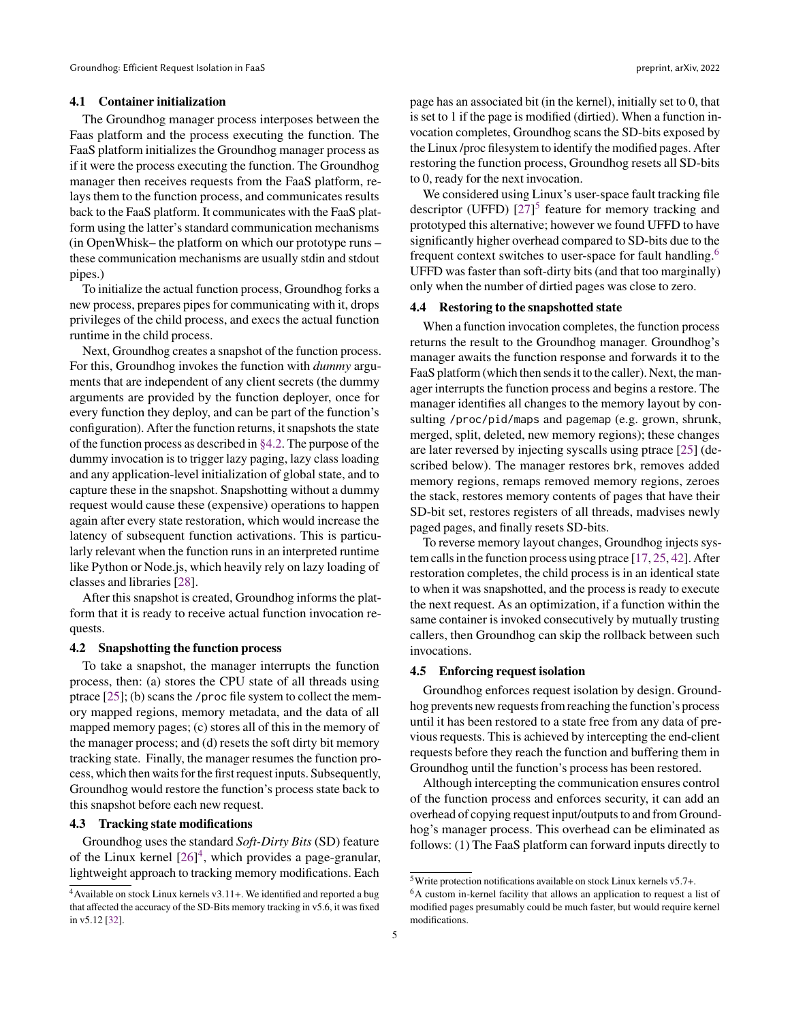#### 4.1 Container initialization

The Groundhog manager process interposes between the Faas platform and the process executing the function. The FaaS platform initializes the Groundhog manager process as if it were the process executing the function. The Groundhog manager then receives requests from the FaaS platform, relays them to the function process, and communicates results back to the FaaS platform. It communicates with the FaaS platform using the latter's standard communication mechanisms (in OpenWhisk– the platform on which our prototype runs – these communication mechanisms are usually stdin and stdout pipes.)

To initialize the actual function process, Groundhog forks a new process, prepares pipes for communicating with it, drops privileges of the child process, and execs the actual function runtime in the child process.

Next, Groundhog creates a snapshot of the function process. For this, Groundhog invokes the function with *dummy* arguments that are independent of any client secrets (the dummy arguments are provided by the function deployer, once for every function they deploy, and can be part of the function's configuration). After the function returns, it snapshots the state of the function process as described in [§4.2.](#page-4-0) The purpose of the dummy invocation is to trigger lazy paging, lazy class loading and any application-level initialization of global state, and to capture these in the snapshot. Snapshotting without a dummy request would cause these (expensive) operations to happen again after every state restoration, which would increase the latency of subsequent function activations. This is particularly relevant when the function runs in an interpreted runtime like Python or Node.js, which heavily rely on lazy loading of classes and libraries [\[28\]](#page-12-19).

After this snapshot is created, Groundhog informs the platform that it is ready to receive actual function invocation requests.

#### <span id="page-4-0"></span>4.2 Snapshotting the function process

To take a snapshot, the manager interrupts the function process, then: (a) stores the CPU state of all threads using ptrace [\[25\]](#page-12-20); (b) scans the /proc file system to collect the memory mapped regions, memory metadata, and the data of all mapped memory pages; (c) stores all of this in the memory of the manager process; and (d) resets the soft dirty bit memory tracking state. Finally, the manager resumes the function process, which then waits for the first request inputs. Subsequently, Groundhog would restore the function's process state back to this snapshot before each new request.

#### <span id="page-4-3"></span>4.3 Tracking state modifications

Groundhog uses the standard *Soft-Dirty Bits* (SD) feature of the Linux kernel [\[26\]](#page-12-21) [4](#page-0-0) , which provides a page-granular, lightweight approach to tracking memory modifications. Each

5

page has an associated bit (in the kernel), initially set to 0, that is set to 1 if the page is modified (dirtied). When a function invocation completes, Groundhog scans the SD-bits exposed by the Linux /proc filesystem to identify the modified pages. After restoring the function process, Groundhog resets all SD-bits to 0, ready for the next invocation.

We considered using Linux's user-space fault tracking file descriptor (UFFD)  $[27]$ <sup>[5](#page-0-0)</sup> feature for memory tracking and prototyped this alternative; however we found UFFD to have significantly higher overhead compared to SD-bits due to the frequent context switches to user-space for fault handling.<sup>[6](#page-0-0)</sup> UFFD was faster than soft-dirty bits (and that too marginally) only when the number of dirtied pages was close to zero.

#### <span id="page-4-2"></span>4.4 Restoring to the snapshotted state

When a function invocation completes, the function process returns the result to the Groundhog manager. Groundhog's manager awaits the function response and forwards it to the FaaS platform (which then sends it to the caller). Next, the manager interrupts the function process and begins a restore. The manager identifies all changes to the memory layout by consulting /proc/pid/maps and pagemap (e.g. grown, shrunk, merged, split, deleted, new memory regions); these changes are later reversed by injecting syscalls using ptrace [\[25\]](#page-12-20) (described below). The manager restores brk, removes added memory regions, remaps removed memory regions, zeroes the stack, restores memory contents of pages that have their SD-bit set, restores registers of all threads, madvises newly paged pages, and finally resets SD-bits.

To reverse memory layout changes, Groundhog injects system calls in the function process using ptrace [\[17,](#page-12-24) [25,](#page-12-20) [42\]](#page-13-0). After restoration completes, the child process is in an identical state to when it was snapshotted, and the process is ready to execute the next request. As an optimization, if a function within the same container is invoked consecutively by mutually trusting callers, then Groundhog can skip the rollback between such invocations.

#### <span id="page-4-1"></span>4.5 Enforcing request isolation

Groundhog enforces request isolation by design. Groundhog prevents new requests from reaching the function's process until it has been restored to a state free from any data of previous requests. This is achieved by intercepting the end-client requests before they reach the function and buffering them in Groundhog until the function's process has been restored.

Although intercepting the communication ensures control of the function process and enforces security, it can add an overhead of copying request input/outputs to and from Groundhog's manager process. This overhead can be eliminated as follows: (1) The FaaS platform can forward inputs directly to

<sup>4</sup>Available on stock Linux kernels v3.11+. We identified and reported a bug that affected the accuracy of the SD-Bits memory tracking in v5.6, it was fixed in v5.12 [\[32\]](#page-12-22).

<sup>5</sup>Write protection notifications available on stock Linux kernels v5.7+.

<sup>6</sup>A custom in-kernel facility that allows an application to request a list of modified pages presumably could be much faster, but would require kernel modifications.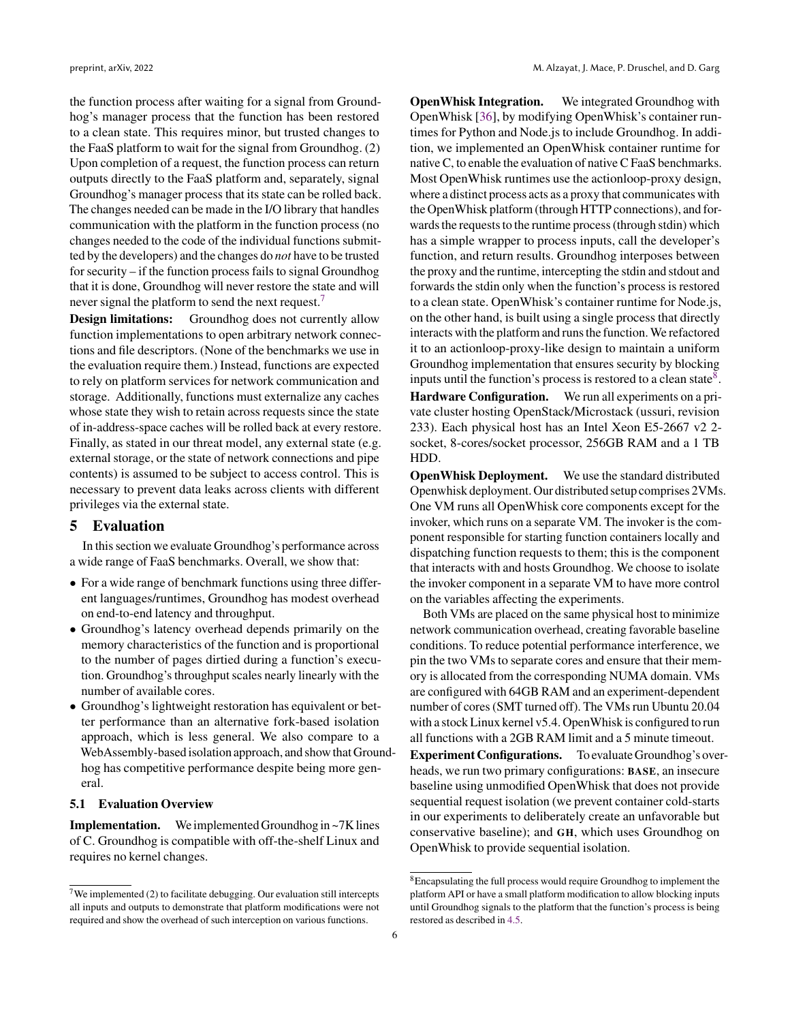the function process after waiting for a signal from Groundhog's manager process that the function has been restored to a clean state. This requires minor, but trusted changes to the FaaS platform to wait for the signal from Groundhog. (2) Upon completion of a request, the function process can return outputs directly to the FaaS platform and, separately, signal Groundhog's manager process that its state can be rolled back. The changes needed can be made in the I/O library that handles communication with the platform in the function process (no changes needed to the code of the individual functions submitted by the developers) and the changes do *not* have to be trusted for security – if the function process fails to signal Groundhog that it is done, Groundhog will never restore the state and will never signal the platform to send the next request.<sup>[7](#page-0-0)</sup>

Design limitations: Groundhog does not currently allow function implementations to open arbitrary network connections and file descriptors. (None of the benchmarks we use in the evaluation require them.) Instead, functions are expected to rely on platform services for network communication and storage. Additionally, functions must externalize any caches whose state they wish to retain across requests since the state of in-address-space caches will be rolled back at every restore. Finally, as stated in our threat model, any external state (e.g. external storage, or the state of network connections and pipe contents) is assumed to be subject to access control. This is necessary to prevent data leaks across clients with different privileges via the external state.

# <span id="page-5-0"></span>5 Evaluation

In this section we evaluate Groundhog's performance across a wide range of FaaS benchmarks. Overall, we show that:

- For a wide range of benchmark functions using three different languages/runtimes, Groundhog has modest overhead on end-to-end latency and throughput.
- Groundhog's latency overhead depends primarily on the memory characteristics of the function and is proportional to the number of pages dirtied during a function's execution. Groundhog's throughput scales nearly linearly with the number of available cores.
- Groundhog's lightweight restoration has equivalent or better performance than an alternative fork-based isolation approach, which is less general. We also compare to a WebAssembly-based isolation approach, and show that Groundhog has competitive performance despite being more general.

## 5.1 Evaluation Overview

Implementation. We implemented Groundhog in ~7K lines of C. Groundhog is compatible with off-the-shelf Linux and requires no kernel changes.

**OpenWhisk Integration.** We integrated Groundhog with OpenWhisk [\[36\]](#page-12-25), by modifying OpenWhisk's container runtimes for Python and Node.js to include Groundhog. In addition, we implemented an OpenWhisk container runtime for native C, to enable the evaluation of native C FaaS benchmarks. Most OpenWhisk runtimes use the actionloop-proxy design, where a distinct process acts as a proxy that communicates with the OpenWhisk platform (through HTTP connections), and forwards the requests to the runtime process (through stdin) which has a simple wrapper to process inputs, call the developer's function, and return results. Groundhog interposes between the proxy and the runtime, intercepting the stdin and stdout and forwards the stdin only when the function's process is restored to a clean state. OpenWhisk's container runtime for Node.js, on the other hand, is built using a single process that directly interacts with the platform and runs the function. We refactored it to an actionloop-proxy-like design to maintain a uniform Groundhog implementation that ensures security by blocking inputs until the function's process is restored to a clean state<sup>[8](#page-0-0)</sup>. Hardware Configuration. We run all experiments on a private cluster hosting OpenStack/Microstack (ussuri, revision 233). Each physical host has an Intel Xeon E5-2667 v2 2 socket, 8-cores/socket processor, 256GB RAM and a 1 TB HDD.

OpenWhisk Deployment. We use the standard distributed Openwhisk deployment. Our distributed setup comprises 2VMs. One VM runs all OpenWhisk core components except for the invoker, which runs on a separate VM. The invoker is the component responsible for starting function containers locally and dispatching function requests to them; this is the component that interacts with and hosts Groundhog. We choose to isolate the invoker component in a separate VM to have more control on the variables affecting the experiments.

Both VMs are placed on the same physical host to minimize network communication overhead, creating favorable baseline conditions. To reduce potential performance interference, we pin the two VMs to separate cores and ensure that their memory is allocated from the corresponding NUMA domain. VMs are configured with 64GB RAM and an experiment-dependent number of cores (SMT turned off). The VMs run Ubuntu 20.04 with a stock Linux kernel v5.4. OpenWhisk is configured to run all functions with a 2GB RAM limit and a 5 minute timeout.

Experiment Configurations. To evaluate Groundhog's overheads, we run two primary configurations: BASE, an insecure baseline using unmodified OpenWhisk that does not provide sequential request isolation (we prevent container cold-starts in our experiments to deliberately create an unfavorable but conservative baseline); and GH, which uses Groundhog on OpenWhisk to provide sequential isolation.

 $7$ We implemented (2) to facilitate debugging. Our evaluation still intercepts all inputs and outputs to demonstrate that platform modifications were not required and show the overhead of such interception on various functions.

<sup>&</sup>lt;sup>8</sup>Encapsulating the full process would require Groundhog to implement the platform API or have a small platform modification to allow blocking inputs until Groundhog signals to the platform that the function's process is being restored as described in [4.5.](#page-4-1)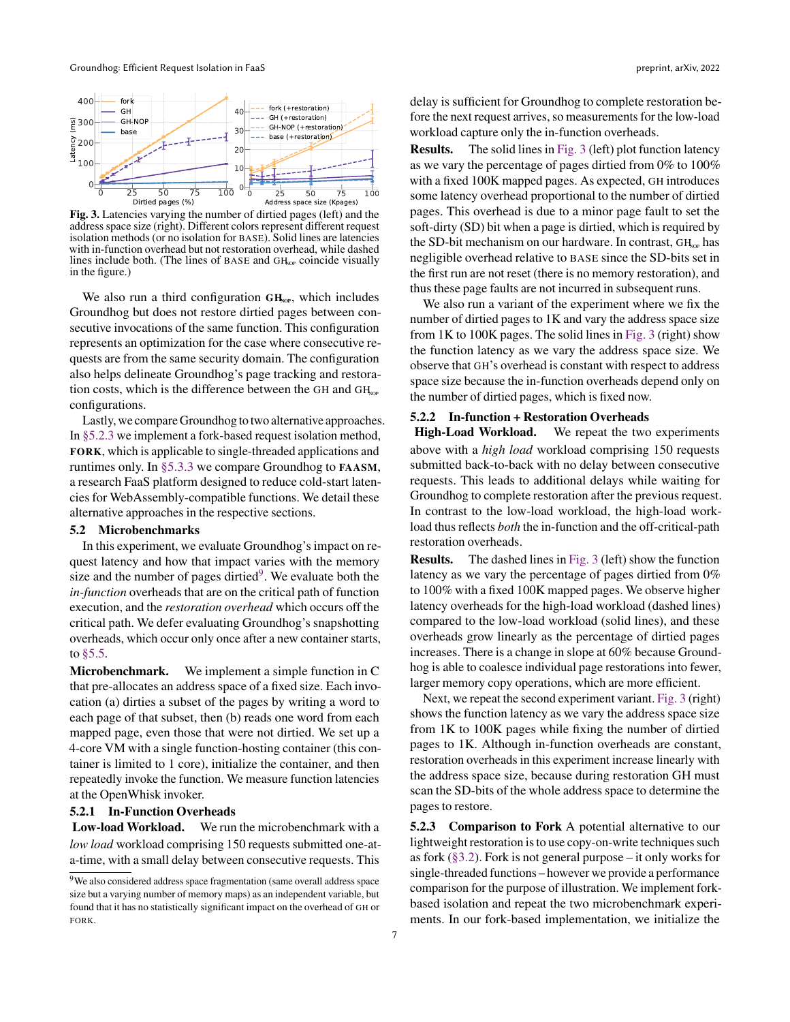<span id="page-6-1"></span>

Fig. 3. Latencies varying the number of dirtied pages (left) and the address space size (right). Different colors represent different request isolation methods (or no isolation for BASE). Solid lines are latencies with in-function overhead but not restoration overhead, while dashed lines include both. (The lines of BASE and  $GH<sub>NP</sub>$  coincide visually in the figure.)

We also run a third configuration  $GH<sub>cor</sub>$ , which includes Groundhog but does not restore dirtied pages between consecutive invocations of the same function. This configuration represents an optimization for the case where consecutive requests are from the same security domain. The configuration also helps delineate Groundhog's page tracking and restoration costs, which is the difference between the GH and  $GH<sub>cor</sub>$ configurations.

Lastly, we compare Groundhog to two alternative approaches. In [§5.2.3](#page-6-0) we implement a fork-based request isolation method, FORK, which is applicable to single-threaded applications and runtimes only. In [§5.3.3](#page-9-0) we compare Groundhog to FAASM, a research FaaS platform designed to reduce cold-start latencies for WebAssembly-compatible functions. We detail these alternative approaches in the respective sections.

## 5.2 Microbenchmarks

In this experiment, we evaluate Groundhog's impact on request latency and how that impact varies with the memory size and the number of pages dirtied<sup>[9](#page-0-0)</sup>. We evaluate both the *in-function* overheads that are on the critical path of function execution, and the *restoration overhead* which occurs off the critical path. We defer evaluating Groundhog's snapshotting overheads, which occur only once after a new container starts, to [§5.5.](#page-10-0)

Microbenchmark. We implement a simple function in C that pre-allocates an address space of a fixed size. Each invocation (a) dirties a subset of the pages by writing a word to each page of that subset, then (b) reads one word from each mapped page, even those that were not dirtied. We set up a 4-core VM with a single function-hosting container (this container is limited to 1 core), initialize the container, and then repeatedly invoke the function. We measure function latencies at the OpenWhisk invoker.

#### <span id="page-6-2"></span>5.2.1 In-Function Overheads

Low-load Workload. We run the microbenchmark with a *low load* workload comprising 150 requests submitted one-ata-time, with a small delay between consecutive requests. This

7

delay is sufficient for Groundhog to complete restoration before the next request arrives, so measurements for the low-load workload capture only the in-function overheads.

Results. The solid lines in [Fig. 3](#page-6-1) (left) plot function latency as we vary the percentage of pages dirtied from 0% to 100% with a fixed 100K mapped pages. As expected, GH introduces some latency overhead proportional to the number of dirtied pages. This overhead is due to a minor page fault to set the soft-dirty (SD) bit when a page is dirtied, which is required by the SD-bit mechanism on our hardware. In contrast,  $GH<sub>NP</sub>$  has negligible overhead relative to BASE since the SD-bits set in the first run are not reset (there is no memory restoration), and thus these page faults are not incurred in subsequent runs.

We also run a variant of the experiment where we fix the number of dirtied pages to 1K and vary the address space size from  $1K$  to  $100K$  pages. The solid lines in [Fig. 3](#page-6-1) (right) show the function latency as we vary the address space size. We observe that GH's overhead is constant with respect to address space size because the in-function overheads depend only on the number of dirtied pages, which is fixed now.

#### <span id="page-6-3"></span>5.2.2 In-function + Restoration Overheads

High-Load Workload. We repeat the two experiments above with a *high load* workload comprising 150 requests submitted back-to-back with no delay between consecutive requests. This leads to additional delays while waiting for Groundhog to complete restoration after the previous request. In contrast to the low-load workload, the high-load workload thus reflects *both* the in-function and the off-critical-path restoration overheads.

Results. The dashed lines in [Fig. 3](#page-6-1) (left) show the function latency as we vary the percentage of pages dirtied from 0% to 100% with a fixed 100K mapped pages. We observe higher latency overheads for the high-load workload (dashed lines) compared to the low-load workload (solid lines), and these overheads grow linearly as the percentage of dirtied pages increases. There is a change in slope at 60% because Groundhog is able to coalesce individual page restorations into fewer, larger memory copy operations, which are more efficient.

Next, we repeat the second experiment variant. [Fig. 3](#page-6-1) (right) shows the function latency as we vary the address space size from 1K to 100K pages while fixing the number of dirtied pages to 1K. Although in-function overheads are constant, restoration overheads in this experiment increase linearly with the address space size, because during restoration GH must scan the SD-bits of the whole address space to determine the pages to restore.

<span id="page-6-0"></span>5.2.3 Comparison to Fork A potential alternative to our lightweight restoration is to use copy-on-write techniques such as fork  $(\S 3.2)$ . Fork is not general purpose – it only works for single-threaded functions – however we provide a performance comparison for the purpose of illustration. We implement forkbased isolation and repeat the two microbenchmark experiments. In our fork-based implementation, we initialize the

<sup>9</sup>We also considered address space fragmentation (same overall address space size but a varying number of memory maps) as an independent variable, but found that it has no statistically significant impact on the overhead of GH or FORK.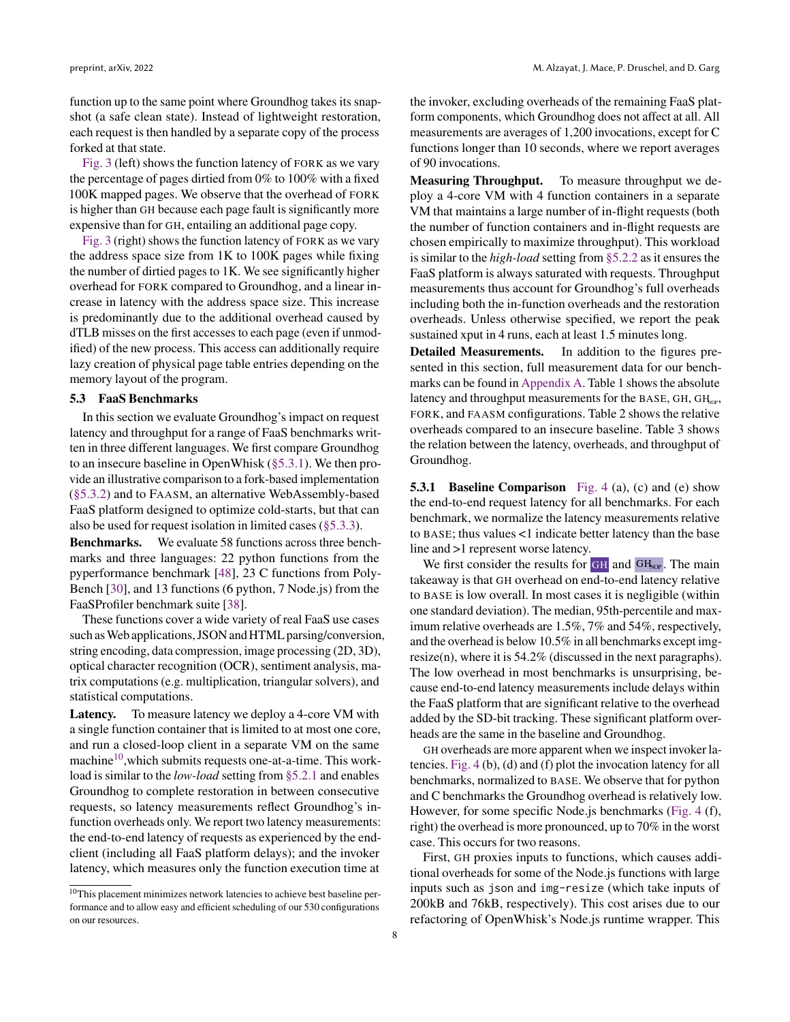function up to the same point where Groundhog takes its snapshot (a safe clean state). Instead of lightweight restoration, each request is then handled by a separate copy of the process forked at that state.

[Fig. 3](#page-6-1) (left) shows the function latency of FORK as we vary the percentage of pages dirtied from 0% to 100% with a fixed 100K mapped pages. We observe that the overhead of FORK is higher than GH because each page fault is significantly more expensive than for GH, entailing an additional page copy.

[Fig. 3](#page-6-1) (right) shows the function latency of FORK as we vary the address space size from 1K to 100K pages while fixing the number of dirtied pages to 1K. We see significantly higher overhead for FORK compared to Groundhog, and a linear increase in latency with the address space size. This increase is predominantly due to the additional overhead caused by dTLB misses on the first accesses to each page (even if unmodified) of the new process. This access can additionally require lazy creation of physical page table entries depending on the memory layout of the program.

#### 5.3 FaaS Benchmarks

In this section we evaluate Groundhog's impact on request latency and throughput for a range of FaaS benchmarks written in three different languages. We first compare Groundhog to an insecure baseline in OpenWhisk [\(§5.3.1\)](#page-7-0). We then provide an illustrative comparison to a fork-based implementation [\(§5.3.2\)](#page-9-1) and to FAASM, an alternative WebAssembly-based FaaS platform designed to optimize cold-starts, but that can also be used for request isolation in limited cases [\(§5.3.3\)](#page-9-0).

Benchmarks. We evaluate 58 functions across three benchmarks and three languages: 22 python functions from the pyperformance benchmark [\[48\]](#page-13-4), 23 C functions from Poly-Bench [\[30\]](#page-12-6), and 13 functions (6 python, 7 Node.js) from the FaaSProfiler benchmark suite [\[38\]](#page-12-5).

These functions cover a wide variety of real FaaS use cases such as Web applications, JSON and HTML parsing/conversion, string encoding, data compression, image processing (2D, 3D), optical character recognition (OCR), sentiment analysis, matrix computations (e.g. multiplication, triangular solvers), and statistical computations.

Latency. To measure latency we deploy a 4-core VM with a single function container that is limited to at most one core, and run a closed-loop client in a separate VM on the same machine $10$ , which submits requests one-at-a-time. This workload is similar to the *low-load* setting from [§5.2.1](#page-6-2) and enables Groundhog to complete restoration in between consecutive requests, so latency measurements reflect Groundhog's infunction overheads only. We report two latency measurements: the end-to-end latency of requests as experienced by the endclient (including all FaaS platform delays); and the invoker latency, which measures only the function execution time at

the invoker, excluding overheads of the remaining FaaS platform components, which Groundhog does not affect at all. All measurements are averages of 1,200 invocations, except for C functions longer than 10 seconds, where we report averages of 90 invocations.

Measuring Throughput. To measure throughput we deploy a 4-core VM with 4 function containers in a separate VM that maintains a large number of in-flight requests (both the number of function containers and in-flight requests are chosen empirically to maximize throughput). This workload is similar to the *high-load* setting from [§5.2.2](#page-6-3) as it ensures the FaaS platform is always saturated with requests. Throughput measurements thus account for Groundhog's full overheads including both the in-function overheads and the restoration overheads. Unless otherwise specified, we report the peak sustained xput in 4 runs, each at least 1.5 minutes long.

Detailed Measurements. In addition to the figures presented in this section, full measurement data for our benchmarks can be found in [Appendix A.](#page-14-0) Table 1 shows the absolute latency and throughput measurements for the BASE, GH,  $GH_{\text{one}}$ , FORK, and FAASM configurations. Table 2 shows the relative overheads compared to an insecure baseline. Table 3 shows the relation between the latency, overheads, and throughput of Groundhog.

<span id="page-7-0"></span>**5.3.1 Baseline Comparison** [Fig. 4](#page-8-0) (a), (c) and (e) show the end-to-end request latency for all benchmarks. For each benchmark, we normalize the latency measurements relative to BASE; thus values <1 indicate better latency than the base line and >1 represent worse latency.

We first consider the results for  $GH$  and  $GH<sub>NP</sub>$ . The main takeaway is that GH overhead on end-to-end latency relative to BASE is low overall. In most cases it is negligible (within one standard deviation). The median, 95th-percentile and maximum relative overheads are 1.5%, 7% and 54%, respectively, and the overhead is below 10.5% in all benchmarks except imgresize(n), where it is 54.2% (discussed in the next paragraphs). The low overhead in most benchmarks is unsurprising, because end-to-end latency measurements include delays within the FaaS platform that are significant relative to the overhead added by the SD-bit tracking. These significant platform overheads are the same in the baseline and Groundhog.

GH overheads are more apparent when we inspect invoker latencies. [Fig. 4](#page-8-0) (b), (d) and (f) plot the invocation latency for all benchmarks, normalized to BASE. We observe that for python and C benchmarks the Groundhog overhead is relatively low. However, for some specific Node.js benchmarks [\(Fig. 4](#page-8-0) (f), right) the overhead is more pronounced, up to 70% in the worst case. This occurs for two reasons.

First, GH proxies inputs to functions, which causes additional overheads for some of the Node.js functions with large inputs such as json and img-resize (which take inputs of 200kB and 76kB, respectively). This cost arises due to our refactoring of OpenWhisk's Node.js runtime wrapper. This

<sup>10</sup>This placement minimizes network latencies to achieve best baseline performance and to allow easy and efficient scheduling of our 530 configurations on our resources.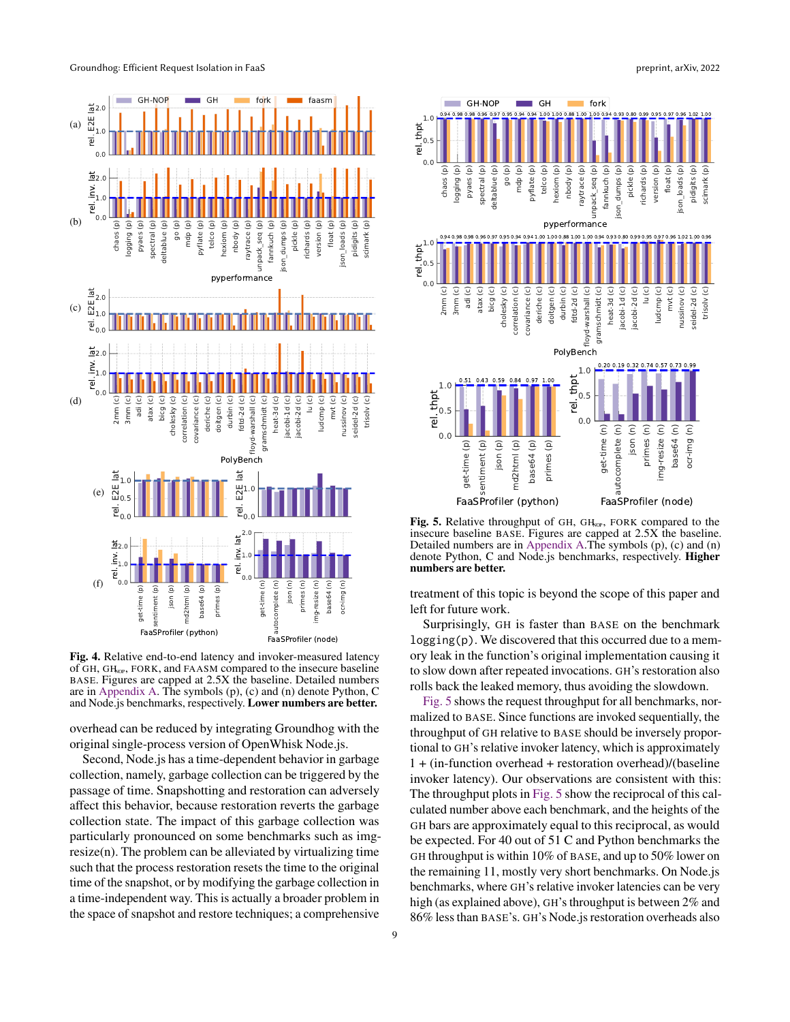<span id="page-8-0"></span>

Fig. 4. Relative end-to-end latency and invoker-measured latency of GH, GH<sub>NOP</sub>, FORK, and FAASM compared to the insecure baseline BASE. Figures are capped at 2.5X the baseline. Detailed numbers are in [Appendix A.](#page-14-0) The symbols (p), (c) and (n) denote Python, C and Node.js benchmarks, respectively. Lower numbers are better.

overhead can be reduced by integrating Groundhog with the original single-process version of OpenWhisk Node.js.

Second, Node.js has a time-dependent behavior in garbage collection, namely, garbage collection can be triggered by the passage of time. Snapshotting and restoration can adversely affect this behavior, because restoration reverts the garbage collection state. The impact of this garbage collection was particularly pronounced on some benchmarks such as imgresize(n). The problem can be alleviated by virtualizing time such that the process restoration resets the time to the original time of the snapshot, or by modifying the garbage collection in a time-independent way. This is actually a broader problem in

<span id="page-8-1"></span>

Fig. 5. Relative throughput of GH, GH<sub>NOP</sub>, FORK compared to the insecure baseline BASE. Figures are capped at 2.5X the baseline. Detailed numbers are in [Appendix A.](#page-14-0)The symbols (p), (c) and (n) denote Python, C and Node.js benchmarks, respectively. Higher numbers are better.

treatment of this topic is beyond the scope of this paper and left for future work.

Surprisingly, GH is faster than BASE on the benchmark logging(p). We discovered that this occurred due to a memory leak in the function's original implementation causing it to slow down after repeated invocations. GH's restoration also rolls back the leaked memory, thus avoiding the slowdown.

[Fig. 5](#page-8-1) shows the request throughput for all benchmarks, normalized to BASE. Since functions are invoked sequentially, the throughput of GH relative to BASE should be inversely proportional to GH's relative invoker latency, which is approximately 1 + (in-function overhead + restoration overhead)/(baseline invoker latency). Our observations are consistent with this: The throughput plots in [Fig. 5](#page-8-1) show the reciprocal of this calculated number above each benchmark, and the heights of the GH bars are approximately equal to this reciprocal, as would be expected. For 40 out of 51 C and Python benchmarks the GH throughput is within 10% of BASE, and up to 50% lower on the remaining 11, mostly very short benchmarks. On Node.js benchmarks, where GH's relative invoker latencies can be very high (as explained above), GH's throughput is between 2% and 86% less than BASE's. GH's Node.js restoration overheads also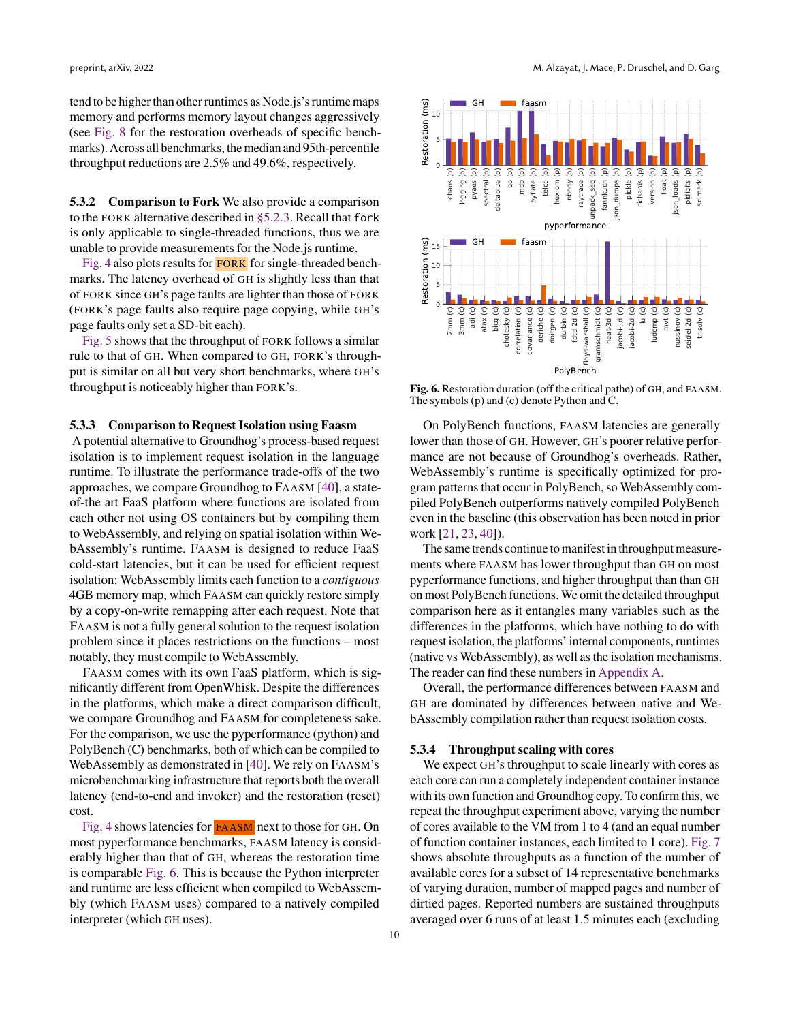tend to be higher than other runtimes as Node.js's runtime maps memory and performs memory layout changes aggressively (see [Fig. 8](#page-10-1) for the restoration overheads of specific benchmarks). Across all benchmarks, the median and 95th-percentile throughput reductions are 2.5% and 49.6%, respectively.

5.3.2 Comparison to Fork We also provide a comparison to the FORK alternative described in [§5.2.3.](#page-6-0) Recall that fork is only applicable to single-threaded functions, thus we are unable to provide measurements for the Node.js runtime.

[Fig. 4](#page-8-0) also plots results for **FORK** for single-threaded benchmarks. The latency overhead of GH is slightly less than that of FORK since GH's page faults are lighter than those of FORK (FORK's page faults also require page copying, while GH's page faults only set a SD-bit each).

[Fig. 5](#page-8-1) shows that the throughput of FORK follows a similar rule to that of GH. When compared to GH, FORK's throughput is similar on all but very short benchmarks, where GH's throughput is noticeably higher than FORK's.

## <span id="page-9-0"></span>5.3.3 Comparison to Request Isolation using Faasm

<span id="page-9-1"></span>A potential alternative to Groundhog's process-based request isolation is to implement request isolation in the language runtime. To illustrate the performance trade-offs of the two approaches, we compare Groundhog to FAASM [\[40\]](#page-13-5), a stateof-the art FaaS platform where functions are isolated from each other not using OS containers but by compiling them to WebAssembly, and relying on spatial isolation within WebAssembly's runtime. FAASM is designed to reduce FaaS cold-start latencies, but it can be used for efficient request isolation: WebAssembly limits each function to a *contiguous* 4GB memory map, which FAASM can quickly restore simply by a copy-on-write remapping after each request. Note that FAASM is not a fully general solution to the request isolation problem since it places restrictions on the functions – most notably, they must compile to WebAssembly. **5.1.2 Comparison to Fork We also provide a comparison**  $\frac{3}{2}$  go  $\frac{2}{3}$  go  $\frac{2}{3}$  go (b) the POKK alternative described in s5.2.3. Recall that for k<br>stoody applicable to single chementas for the Noole js nutime.

FAASM comes with its own FaaS platform, which is significantly different from OpenWhisk. Despite the differences in the platforms, which make a direct comparison difficult, we compare Groundhog and FAASM for completeness sake. For the comparison, we use the pyperformance (python) and PolyBench (C) benchmarks, both of which can be compiled to WebAssembly as demonstrated in [\[40\]](#page-13-5). We rely on FAASM's microbenchmarking infrastructure that reports both the overall latency (end-to-end and invoker) and the restoration (reset) cost.

[Fig. 4](#page-8-0) shows latencies for FAASM next to those for GH. On most pyperformance benchmarks, FAASM latency is considerably higher than that of GH, whereas the restoration time is comparable [Fig. 6.](#page-9-2) This is because the Python interpreter and runtime are less efficient when compiled to WebAssembly (which FAASM uses) compared to a natively compiled

<span id="page-9-2"></span>

Fig. 6. Restoration duration (off the critical pathe) of GH, and FAASM. The symbols (p) and (c) denote Python and C.

On PolyBench functions, FAASM latencies are generally lower than those of GH. However, GH's poorer relative performance are not because of Groundhog's overheads. Rather, WebAssembly's runtime is specifically optimized for program patterns that occur in PolyBench, so WebAssembly compiled PolyBench outperforms natively compiled PolyBench even in the baseline (this observation has been noted in prior work [\[21,](#page-12-26) [23,](#page-12-27) [40\]](#page-13-5)).

The same trends continue to manifest in throughput measurements where FAASM has lower throughput than GH on most pyperformance functions, and higher throughput than than GH on most PolyBench functions. We omit the detailed throughput comparison here as it entangles many variables such as the differences in the platforms, which have nothing to do with request isolation, the platforms' internal components, runtimes (native vs WebAssembly), as well as the isolation mechanisms. The reader can find these numbers in [Appendix A.](#page-14-0)

Overall, the performance differences between FAASM and GH are dominated by differences between native and WebAssembly compilation rather than request isolation costs.

#### <span id="page-9-3"></span>5.3.4 Throughput scaling with cores

We expect GH's throughput to scale linearly with cores as each core can run a completely independent container instance with its own function and Groundhog copy. To confirm this, we repeat the throughput experiment above, varying the number of cores available to the VM from 1 to 4 (and an equal number of function container instances, each limited to 1 core). [Fig. 7](#page-10-2) shows absolute throughputs as a function of the number of available cores for a subset of 14 representative benchmarks of varying duration, number of mapped pages and number of dirtied pages. Reported numbers are sustained throughputs averaged over 6 runs of at least 1.5 minutes each (excluding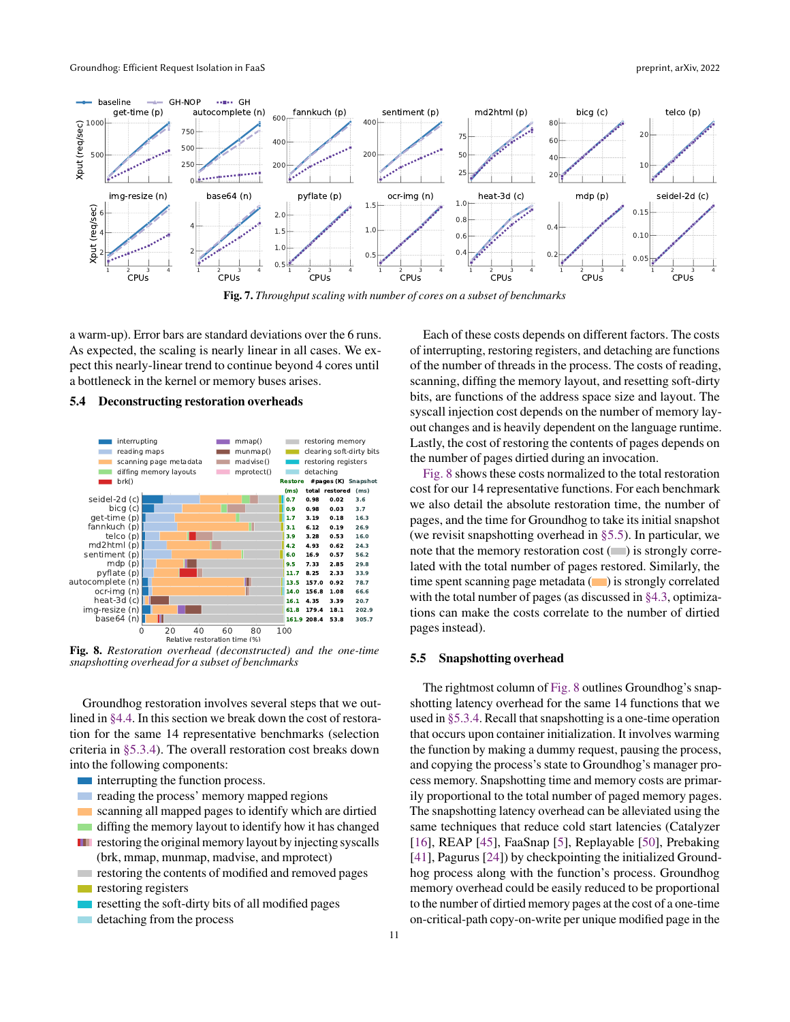<span id="page-10-2"></span>

Fig. 7. *Throughput scaling with number of cores on a subset of benchmarks*

a warm-up). Error bars are standard deviations over the 6 runs. As expected, the scaling is nearly linear in all cases. We expect this nearly-linear trend to continue beyond 4 cores until a bottleneck in the kernel or memory buses arises.

#### 5.4 Deconstructing restoration overheads

<span id="page-10-1"></span>

Fig. 8. *Restoration overhead (deconstructed) and the one-time snapshotting overhead for a subset of benchmarks*

Groundhog restoration involves several steps that we outlined in [§4.4.](#page-4-2) In this section we break down the cost of restoration for the same 14 representative benchmarks (selection criteria in [§5.3.4\)](#page-9-3). The overall restoration cost breaks down into the following components:

- **interrupting the function process.**
- $\mathcal{L}_{\mathcal{A}}$ reading the process' memory mapped regions
- scanning all mapped pages to identify which are dirtied  $\sim$
- $\mathcal{L}^{\text{max}}$ diffing the memory layout to identify how it has changed
- **T** restoring the original memory layout by injecting syscalls
- (brk, mmap, munmap, madvise, and mprotect) restoring the contents of modified and removed pages **College**
- $\mathcal{L}^{\text{max}}$ restoring registers
- resetting the soft-dirty bits of all modified pages
- detaching from the process  $\sim 10$

Each of these costs depends on different factors. The costs of interrupting, restoring registers, and detaching are functions of the number of threads in the process. The costs of reading, scanning, diffing the memory layout, and resetting soft-dirty bits, are functions of the address space size and layout. The syscall injection cost depends on the number of memory layout changes and is heavily dependent on the language runtime. Lastly, the cost of restoring the contents of pages depends on the number of pages dirtied during an invocation.

[Fig. 8](#page-10-1) shows these costs normalized to the total restoration cost for our 14 representative functions. For each benchmark we also detail the absolute restoration time, the number of pages, and the time for Groundhog to take its initial snapshot (we revisit snapshotting overhead in [§5.5\)](#page-10-0). In particular, we note that the memory restoration cost  $(\blacksquare)$  is strongly correlated with the total number of pages restored. Similarly, the time spent scanning page metadata  $(\Box)$  is strongly correlated with the total number of pages (as discussed in [§4.3,](#page-4-3) optimizations can make the costs correlate to the number of dirtied pages instead).

#### <span id="page-10-0"></span>5.5 Snapshotting overhead

The rightmost column of [Fig. 8](#page-10-1) outlines Groundhog's snapshotting latency overhead for the same 14 functions that we used in [§5.3.4.](#page-9-3) Recall that snapshotting is a one-time operation that occurs upon container initialization. It involves warming the function by making a dummy request, pausing the process, and copying the process's state to Groundhog's manager process memory. Snapshotting time and memory costs are primarily proportional to the total number of paged memory pages. The snapshotting latency overhead can be alleviated using the same techniques that reduce cold start latencies (Catalyzer [\[16\]](#page-12-2), REAP [\[45\]](#page-13-1), FaaSnap [\[5\]](#page-12-0), Replayable [\[50\]](#page-13-2), Prebaking [\[41\]](#page-13-8), Pagurus [\[24\]](#page-12-18)) by checkpointing the initialized Groundhog process along with the function's process. Groundhog memory overhead could be easily reduced to be proportional to the number of dirtied memory pages at the cost of a one-time on-critical-path copy-on-write per unique modified page in the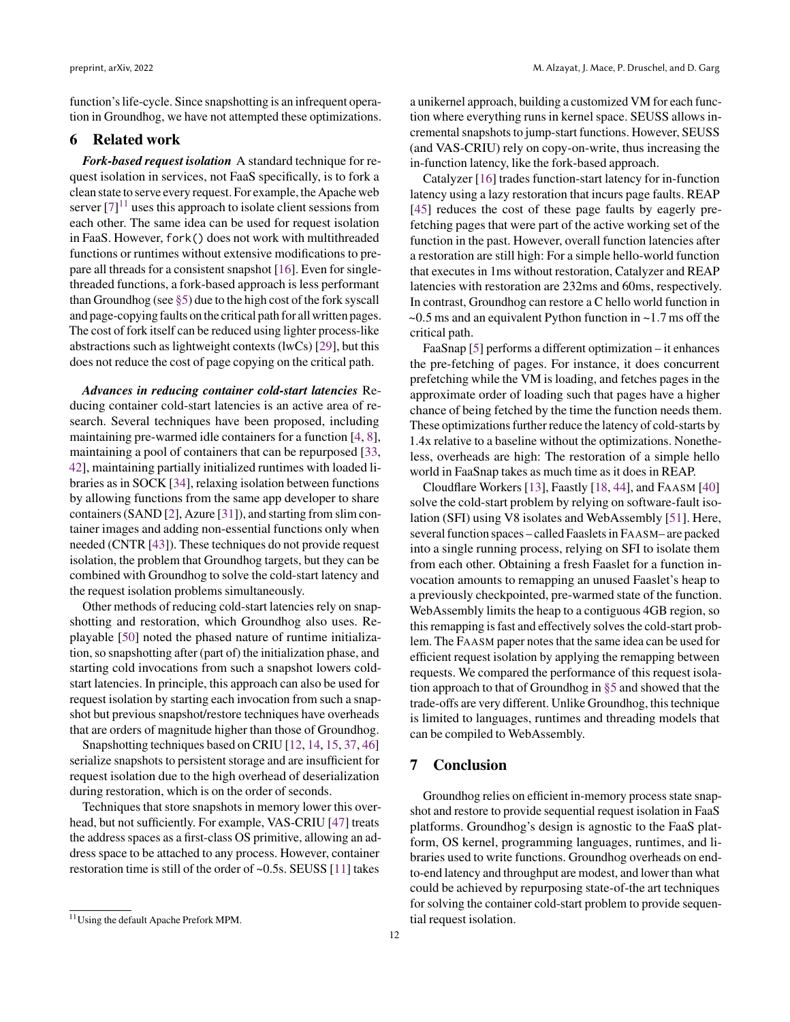function's life-cycle. Since snapshotting is an infrequent operation in Groundhog, we have not attempted these optimizations.

# 6 Related work

*Fork-based request isolation* A standard technique for request isolation in services, not FaaS specifically, is to fork a clean state to serve every request. For example, the Apache web server  $[7]$ <sup>[11](#page-0-0)</sup> uses this approach to isolate client sessions from each other. The same idea can be used for request isolation in FaaS. However, fork() does not work with multithreaded functions or runtimes without extensive modifications to prepare all threads for a consistent snapshot [\[16\]](#page-12-2). Even for singlethreaded functions, a fork-based approach is less performant than Groundhog (see [§5\)](#page-5-0) due to the high cost of the fork syscall and page-copying faults on the critical path for all written pages. The cost of fork itself can be reduced using lighter process-like abstractions such as lightweight contexts (lwCs) [\[29\]](#page-12-29), but this does not reduce the cost of page copying on the critical path.

*Advances in reducing container cold-start latencies* Reducing container cold-start latencies is an active area of research. Several techniques have been proposed, including maintaining pre-warmed idle containers for a function [\[4,](#page-12-30) [8\]](#page-12-31), maintaining a pool of containers that can be repurposed [\[33,](#page-12-32) [42\]](#page-13-0), maintaining partially initialized runtimes with loaded libraries as in SOCK [\[34\]](#page-12-4), relaxing isolation between functions by allowing functions from the same app developer to share containers (SAND [\[2\]](#page-12-9), Azure [\[31\]](#page-12-12)), and starting from slim container images and adding non-essential functions only when needed (CNTR [\[43\]](#page-13-9)). These techniques do not provide request isolation, the problem that Groundhog targets, but they can be combined with Groundhog to solve the cold-start latency and the request isolation problems simultaneously.

Other methods of reducing cold-start latencies rely on snapshotting and restoration, which Groundhog also uses. Replayable [\[50\]](#page-13-2) noted the phased nature of runtime initialization, so snapshotting after (part of) the initialization phase, and starting cold invocations from such a snapshot lowers coldstart latencies. In principle, this approach can also be used for request isolation by starting each invocation from such a snapshot but previous snapshot/restore techniques have overheads that are orders of magnitude higher than those of Groundhog.

Snapshotting techniques based on CRIU [\[12,](#page-12-33) [14,](#page-12-34) [15,](#page-12-35) [37,](#page-12-36) [46\]](#page-13-10) serialize snapshots to persistent storage and are insufficient for request isolation due to the high overhead of deserialization during restoration, which is on the order of seconds.

Techniques that store snapshots in memory lower this overhead, but not sufficiently. For example, VAS-CRIU [\[47\]](#page-13-11) treats the address spaces as a first-class OS primitive, allowing an address space to be attached to any process. However, container restoration time is still of the order of ~0.5s. SEUSS [\[11\]](#page-12-37) takes

a unikernel approach, building a customized VM for each function where everything runs in kernel space. SEUSS allows incremental snapshots to jump-start functions. However, SEUSS (and VAS-CRIU) rely on copy-on-write, thus increasing the in-function latency, like the fork-based approach.

Catalyzer [\[16\]](#page-12-2) trades function-start latency for in-function latency using a lazy restoration that incurs page faults. REAP [\[45\]](#page-13-1) reduces the cost of these page faults by eagerly prefetching pages that were part of the active working set of the function in the past. However, overall function latencies after a restoration are still high: For a simple hello-world function that executes in 1ms without restoration, Catalyzer and REAP latencies with restoration are 232ms and 60ms, respectively. In contrast, Groundhog can restore a C hello world function in  $\sim$ 0.5 ms and an equivalent Python function in  $\sim$ 1.7 ms off the critical path.

FaaSnap [\[5\]](#page-12-0) performs a different optimization – it enhances the pre-fetching of pages. For instance, it does concurrent prefetching while the VM is loading, and fetches pages in the approximate order of loading such that pages have a higher chance of being fetched by the time the function needs them. These optimizations further reduce the latency of cold-starts by 1.4x relative to a baseline without the optimizations. Nonetheless, overheads are high: The restoration of a simple hello world in FaaSnap takes as much time as it does in REAP.

Cloudflare Workers [\[13\]](#page-12-7), Faastly [\[18,](#page-12-8) [44\]](#page-13-12), and FAASM [\[40\]](#page-13-5) solve the cold-start problem by relying on software-fault isolation (SFI) using V8 isolates and WebAssembly [\[51\]](#page-13-7). Here, several function spaces – called Faaslets in FAASM– are packed into a single running process, relying on SFI to isolate them from each other. Obtaining a fresh Faaslet for a function invocation amounts to remapping an unused Faaslet's heap to a previously checkpointed, pre-warmed state of the function. WebAssembly limits the heap to a contiguous 4GB region, so this remapping is fast and effectively solves the cold-start problem. The FAASM paper notes that the same idea can be used for efficient request isolation by applying the remapping between requests. We compared the performance of this request isolation approach to that of Groundhog in [§5](#page-5-0) and showed that the trade-offs are very different. Unlike Groundhog, this technique is limited to languages, runtimes and threading models that can be compiled to WebAssembly.

# 7 Conclusion

Groundhog relies on efficient in-memory process state snapshot and restore to provide sequential request isolation in FaaS platforms. Groundhog's design is agnostic to the FaaS platform, OS kernel, programming languages, runtimes, and libraries used to write functions. Groundhog overheads on endto-end latency and throughput are modest, and lower than what could be achieved by repurposing state-of-the art techniques for solving the container cold-start problem to provide sequential request isolation.

<sup>11</sup>Using the default Apache Prefork MPM.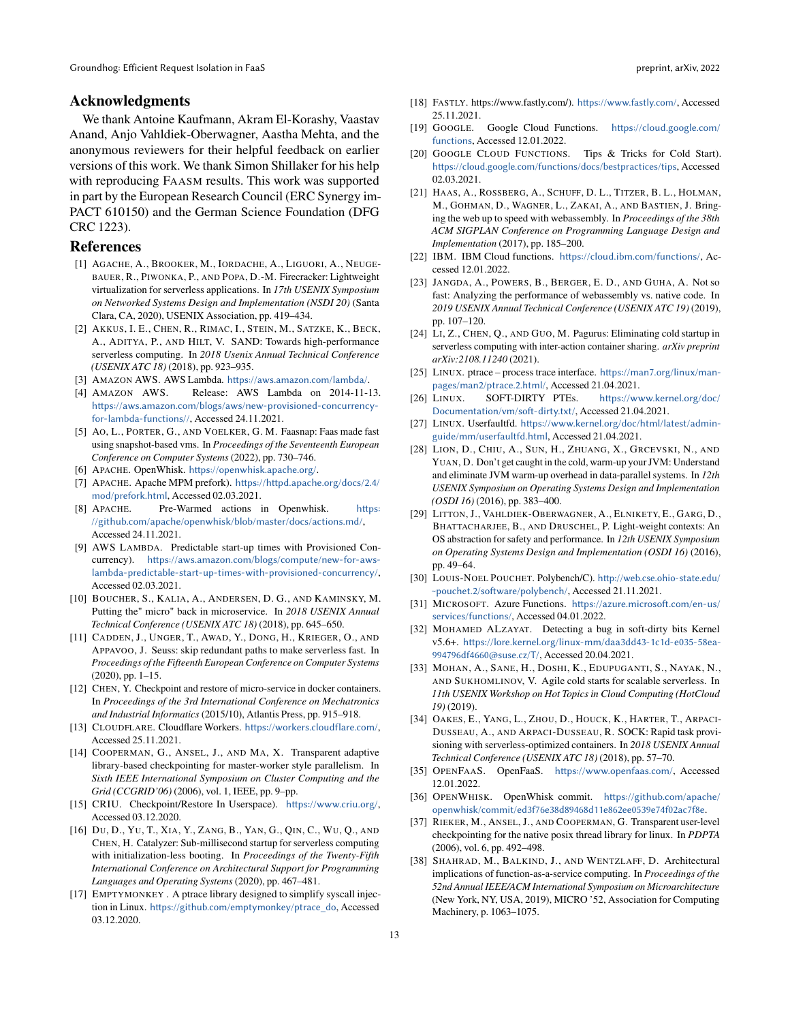# Acknowledgments

We thank Antoine Kaufmann, Akram El-Korashy, Vaastav Anand, Anjo Vahldiek-Oberwagner, Aastha Mehta, and the anonymous reviewers for their helpful feedback on earlier versions of this work. We thank Simon Shillaker for his help with reproducing FAASM results. This work was supported in part by the European Research Council (ERC Synergy im-PACT 610150) and the German Science Foundation (DFG CRC 1223).

## References

- <span id="page-12-14"></span>[1] AGACHE, A., BROOKER, M., IORDACHE, A., LIGUORI, A., NEUGE-BAUER, R., PIWONKA, P., AND POPA, D.-M. Firecracker: Lightweight virtualization for serverless applications. In *17th USENIX Symposium on Networked Systems Design and Implementation (NSDI 20)* (Santa Clara, CA, 2020), USENIX Association, pp. 419–434.
- <span id="page-12-9"></span>[2] AKKUS, I. E., CHEN, R., RIMAC, I., STEIN, M., SATZKE, K., BECK, A., ADITYA, P., AND HILT, V. SAND: Towards high-performance serverless computing. In *2018 Usenix Annual Technical Conference (USENIX ATC 18)* (2018), pp. 923–935.
- <span id="page-12-15"></span>[3] AMAZON AWS. AWS Lambda. <https://aws.amazon.com/lambda/>.
- <span id="page-12-30"></span>[4] AMAZON AWS. Release: AWS Lambda on 2014-11-13. [https://aws.amazon.com/blogs/aws/new-provisioned-concurrency](https://aws.amazon.com/blogs/aws/new-provisioned-concurrency-for-lambda-functions//)[for-lambda-functions//](https://aws.amazon.com/blogs/aws/new-provisioned-concurrency-for-lambda-functions//), Accessed 24.11.2021.
- <span id="page-12-0"></span>[5] AO, L., PORTER, G., AND VOELKER, G. M. Faasnap: Faas made fast using snapshot-based vms. In *Proceedings of the Seventeenth European Conference on Computer Systems* (2022), pp. 730–746.
- <span id="page-12-10"></span>[6] APACHE. OpenWhisk. <https://openwhisk.apache.org/>.
- <span id="page-12-28"></span>[7] APACHE. Apache MPM prefork). [https://httpd.apache.org/docs/2.4/](https://httpd.apache.org/docs/2.4/mod/prefork.html) [mod/prefork.html](https://httpd.apache.org/docs/2.4/mod/prefork.html), Accessed 02.03.2021.
- <span id="page-12-31"></span>[8] APACHE. Pre-Warmed actions in Openwhisk. [https:](https://github.com/apache/openwhisk/blob/master/docs/actions.md/) [//github.com/apache/openwhisk/blob/master/docs/actions.md/](https://github.com/apache/openwhisk/blob/master/docs/actions.md/), Accessed 24.11.2021.
- <span id="page-12-1"></span>[9] AWS LAMBDA. Predictable start-up times with Provisioned Concurrency). [https://aws.amazon.com/blogs/compute/new-for-aws]( https://aws.amazon.com/blogs/compute/new-for-aws-lambda-predictable-start-up-times-with-provisioned-concurrency/)[lambda-predictable-start-up-times-with-provisioned-concurrency/]( https://aws.amazon.com/blogs/compute/new-for-aws-lambda-predictable-start-up-times-with-provisioned-concurrency/), Accessed 02.03.2021.
- <span id="page-12-17"></span>[10] BOUCHER, S., KALIA, A., ANDERSEN, D. G., AND KAMINSKY, M. Putting the" micro" back in microservice. In *2018 USENIX Annual Technical Conference (USENIX ATC 18)* (2018), pp. 645–650.
- <span id="page-12-37"></span>[11] CADDEN, J., UNGER, T., AWAD, Y., DONG, H., KRIEGER, O., AND APPAVOO, J. Seuss: skip redundant paths to make serverless fast. In *Proceedings of the Fifteenth European Conference on Computer Systems* (2020), pp. 1–15.
- <span id="page-12-33"></span>[12] CHEN, Y. Checkpoint and restore of micro-service in docker containers. In *Proceedings of the 3rd International Conference on Mechatronics and Industrial Informatics* (2015/10), Atlantis Press, pp. 915–918.
- <span id="page-12-7"></span>[13] CLOUDFLARE. Cloudflare Workers. <https://workers.cloudflare.com/>, Accessed 25.11.2021.
- <span id="page-12-34"></span>[14] COOPERMAN, G., ANSEL, J., AND MA, X. Transparent adaptive library-based checkpointing for master-worker style parallelism. In *Sixth IEEE International Symposium on Cluster Computing and the Grid (CCGRID'06)* (2006), vol. 1, IEEE, pp. 9–pp.
- <span id="page-12-35"></span>[15] CRIU. Checkpoint/Restore In Userspace). <https://www.criu.org/>, Accessed 03.12.2020.
- <span id="page-12-2"></span>[16] DU, D., YU, T., XIA, Y., ZANG, B., YAN, G., QIN, C., WU, Q., AND CHEN, H. Catalyzer: Sub-millisecond startup for serverless computing with initialization-less booting. In *Proceedings of the Twenty-Fifth International Conference on Architectural Support for Programming Languages and Operating Systems* (2020), pp. 467–481.
- <span id="page-12-24"></span>[17] EMPTYMONKEY . A ptrace library designed to simplify syscall injection in Linux. [https://github.com/emptymonkey/ptrace\\_do](https://github.com/emptymonkey/ptrace_do), Accessed 03.12.2020.
- <span id="page-12-8"></span>[18] FASTLY. https://www.fastly.com/). <https://www.fastly.com/>, Accessed 25.11.2021.
- <span id="page-12-11"></span>[19] GOOGLE. Google Cloud Functions. [https://cloud.google.com/]( https://cloud.google.com/functions) [functions]( https://cloud.google.com/functions), Accessed 12.01.2022.
- <span id="page-12-3"></span>[20] GOOGLE CLOUD FUNCTIONS. Tips & Tricks for Cold Start). [https://cloud.google.com/functions/docs/bestpractices/tips]( https://cloud.google.com/functions/docs/bestpractices/tips), Accessed 02.03.2021.
- <span id="page-12-26"></span>[21] HAAS, A., ROSSBERG, A., SCHUFF, D. L., TITZER, B. L., HOLMAN, M., GOHMAN, D., WAGNER, L., ZAKAI, A., AND BASTIEN, J. Bringing the web up to speed with webassembly. In *Proceedings of the 38th ACM SIGPLAN Conference on Programming Language Design and Implementation* (2017), pp. 185–200.
- <span id="page-12-16"></span>[22] IBM. IBM Cloud functions. <https://cloud.ibm.com/functions/>, Accessed 12.01.2022.
- <span id="page-12-27"></span>[23] JANGDA, A., POWERS, B., BERGER, E. D., AND GUHA, A. Not so fast: Analyzing the performance of webassembly vs. native code. In *2019 USENIX Annual Technical Conference (USENIX ATC 19)* (2019), pp. 107–120.
- <span id="page-12-18"></span>[24] LI, Z., CHEN, Q., AND GUO, M. Pagurus: Eliminating cold startup in serverless computing with inter-action container sharing. *arXiv preprint arXiv:2108.11240* (2021).
- <span id="page-12-20"></span>[25] LINUX. ptrace – process trace interface. [https://man7.org/linux/man](https://man7.org/linux/man-pages/man2/ptrace.2.html/)[pages/man2/ptrace.2.html/](https://man7.org/linux/man-pages/man2/ptrace.2.html/), Accessed 21.04.2021.
- <span id="page-12-21"></span>[26] LINUX. SOFT-DIRTY PTEs. [https://www.kernel.org/doc/](https://www.kernel.org/doc/Documentation/vm/soft-dirty.txt/) [Documentation/vm/soft-dirty.txt/](https://www.kernel.org/doc/Documentation/vm/soft-dirty.txt/), Accessed 21.04.2021.
- <span id="page-12-23"></span>[27] LINUX. Userfaultfd. [https://www.kernel.org/doc/html/latest/admin](https://www.kernel.org/doc/html/latest/admin-guide/mm/userfaultfd.html)[guide/mm/userfaultfd.html](https://www.kernel.org/doc/html/latest/admin-guide/mm/userfaultfd.html), Accessed 21.04.2021.
- <span id="page-12-19"></span>[28] LION, D., CHIU, A., SUN, H., ZHUANG, X., GRCEVSKI, N., AND YUAN, D. Don't get caught in the cold, warm-up your JVM: Understand and eliminate JVM warm-up overhead in data-parallel systems. In *12th USENIX Symposium on Operating Systems Design and Implementation (OSDI 16)* (2016), pp. 383–400.
- <span id="page-12-29"></span>[29] LITTON, J., VAHLDIEK-OBERWAGNER, A., ELNIKETY, E., GARG, D., BHATTACHARJEE, B., AND DRUSCHEL, P. Light-weight contexts: An OS abstraction for safety and performance. In *12th USENIX Symposium on Operating Systems Design and Implementation (OSDI 16)* (2016), pp. 49–64.
- <span id="page-12-6"></span>[30] LOUIS-NOEL POUCHET. Polybench/C). [http://web.cse.ohio-state.edu/](http://web.cse.ohio-state.edu/~pouchet.2/software/polybench/) [~pouchet.2/software/polybench/](http://web.cse.ohio-state.edu/~pouchet.2/software/polybench/), Accessed 21.11.2021.
- <span id="page-12-12"></span>[31] MICROSOFT. Azure Functions. [https://azure.microsoft.com/en-us/](https://azure.microsoft.com/en-us/services/functions/) [services/functions/](https://azure.microsoft.com/en-us/services/functions/), Accessed 04.01.2022.
- <span id="page-12-22"></span>[32] MOHAMED ALZAYAT. Detecting a bug in soft-dirty bits Kernel v5.6+. [https://lore.kernel.org/linux-mm/daa3dd43-1c1d-e035-58ea-](https://lore.kernel.org/linux-mm/daa3dd43-1c1d-e035-58ea-994796df4660@suse.cz/T/)[994796df4660@suse.cz/T/](https://lore.kernel.org/linux-mm/daa3dd43-1c1d-e035-58ea-994796df4660@suse.cz/T/), Accessed 20.04.2021.
- <span id="page-12-32"></span>[33] MOHAN, A., SANE, H., DOSHI, K., EDUPUGANTI, S., NAYAK, N., AND SUKHOMLINOV, V. Agile cold starts for scalable serverless. In *11th USENIX Workshop on Hot Topics in Cloud Computing (HotCloud 19)* (2019).
- <span id="page-12-4"></span>[34] OAKES, E., YANG, L., ZHOU, D., HOUCK, K., HARTER, T., ARPACI-DUSSEAU, A., AND ARPACI-DUSSEAU, R. SOCK: Rapid task provisioning with serverless-optimized containers. In *2018 USENIX Annual Technical Conference (USENIX ATC 18)* (2018), pp. 57–70.
- <span id="page-12-13"></span>[35] OPENFAAS. OpenFaaS. [https://www.openfaas.com/]( https://www.openfaas.com/), Accessed 12.01.2022.
- <span id="page-12-25"></span>[36] OPENWHISK. OpenWhisk commit. [https://github.com/apache/]( https://github.com/apache/openwhisk/commit/ed3f76e38d89468d11e862ee0539e74f02ac7f8e) [openwhisk/commit/ed3f76e38d89468d11e862ee0539e74f02ac7f8e]( https://github.com/apache/openwhisk/commit/ed3f76e38d89468d11e862ee0539e74f02ac7f8e).
- <span id="page-12-36"></span>[37] RIEKER, M., ANSEL, J., AND COOPERMAN, G. Transparent user-level checkpointing for the native posix thread library for linux. In *PDPTA* (2006), vol. 6, pp. 492–498.
- <span id="page-12-5"></span>[38] SHAHRAD, M., BALKIND, J., AND WENTZLAFF, D. Architectural implications of function-as-a-service computing. In *Proceedings of the 52nd Annual IEEE/ACM International Symposium on Microarchitecture* (New York, NY, USA, 2019), MICRO '52, Association for Computing Machinery, p. 1063–1075.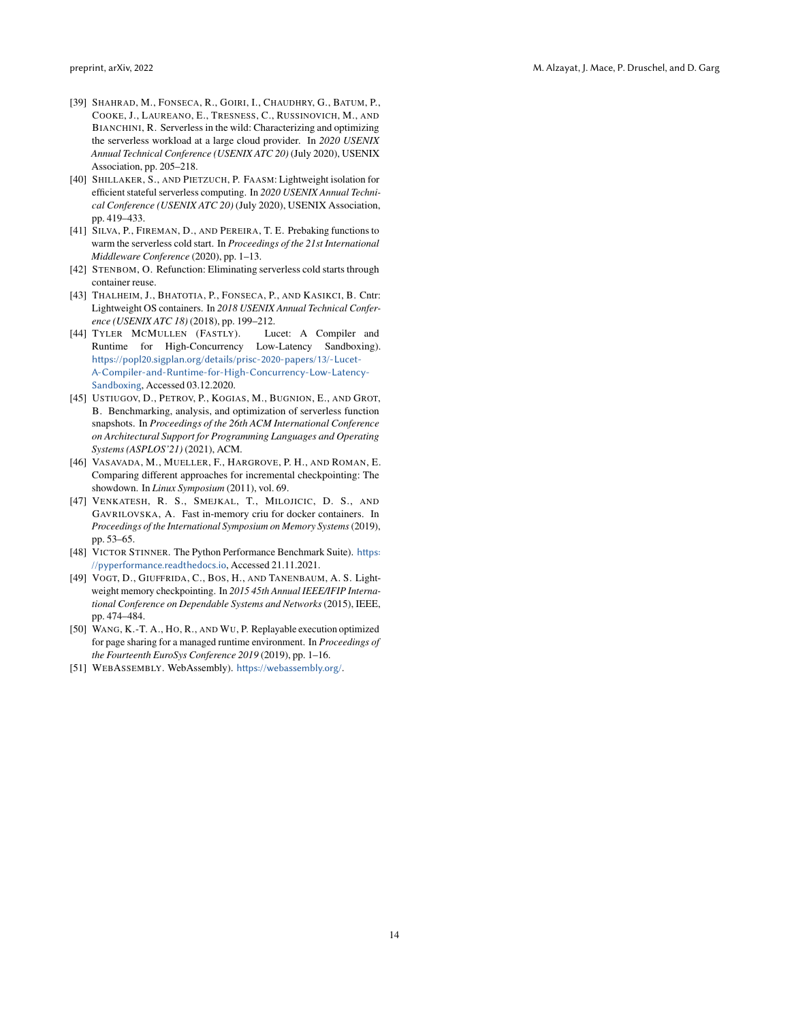- <span id="page-13-3"></span>[39] SHAHRAD, M., FONSECA, R., GOIRI, I., CHAUDHRY, G., BATUM, P., COOKE, J., LAUREANO, E., TRESNESS, C., RUSSINOVICH, M., AND BIANCHINI, R. Serverless in the wild: Characterizing and optimizing the serverless workload at a large cloud provider. In *2020 USENIX Annual Technical Conference (USENIX ATC 20)* (July 2020), USENIX Association, pp. 205–218.
- <span id="page-13-5"></span>[40] SHILLAKER, S., AND PIETZUCH, P. FAASM: Lightweight isolation for efficient stateful serverless computing. In *2020 USENIX Annual Technical Conference (USENIX ATC 20)* (July 2020), USENIX Association, pp. 419–433.
- <span id="page-13-8"></span>[41] SILVA, P., FIREMAN, D., AND PEREIRA, T. E. Prebaking functions to warm the serverless cold start. In *Proceedings of the 21st International Middleware Conference* (2020), pp. 1–13.
- <span id="page-13-0"></span>[42] STENBOM, O. Refunction: Eliminating serverless cold starts through container reuse.
- <span id="page-13-9"></span>[43] THALHEIM, J., BHATOTIA, P., FONSECA, P., AND KASIKCI, B. Cntr: Lightweight OS containers. In *2018 USENIX Annual Technical Conference (USENIX ATC 18)* (2018), pp. 199–212.
- <span id="page-13-12"></span>[44] TYLER MCMULLEN (FASTLY). Lucet: A Compiler and Runtime for High-Concurrency Low-Latency Sandboxing). [https://popl20.sigplan.org/details/prisc-2020-papers/13/-Lucet-](https://popl20.sigplan.org/details/prisc-2020-papers/13/-Lucet-A-Compiler-and-Runtime-for-High-Concurrency-Low-Latency-Sandboxing)[A-Compiler-and-Runtime-for-High-Concurrency-Low-Latency-](https://popl20.sigplan.org/details/prisc-2020-papers/13/-Lucet-A-Compiler-and-Runtime-for-High-Concurrency-Low-Latency-Sandboxing)[Sandboxing](https://popl20.sigplan.org/details/prisc-2020-papers/13/-Lucet-A-Compiler-and-Runtime-for-High-Concurrency-Low-Latency-Sandboxing), Accessed 03.12.2020.
- <span id="page-13-1"></span>[45] USTIUGOV, D., PETROV, P., KOGIAS, M., BUGNION, E., AND GROT, B. Benchmarking, analysis, and optimization of serverless function snapshots. In *Proceedings of the 26th ACM International Conference on Architectural Support for Programming Languages and Operating Systems (ASPLOS'21)* (2021), ACM.
- <span id="page-13-10"></span>[46] VASAVADA, M., MUELLER, F., HARGROVE, P. H., AND ROMAN, E. Comparing different approaches for incremental checkpointing: The showdown. In *Linux Symposium* (2011), vol. 69.
- <span id="page-13-11"></span>[47] VENKATESH, R. S., SMEJKAL, T., MILOJICIC, D. S., AND GAVRILOVSKA, A. Fast in-memory criu for docker containers. In *Proceedings of the International Symposium on Memory Systems*(2019), pp. 53–65.
- <span id="page-13-4"></span>[48] VICTOR STINNER. The Python Performance Benchmark Suite). [https:](https://pyperformance.readthedocs.io) [//pyperformance.readthedocs.io](https://pyperformance.readthedocs.io), Accessed 21.11.2021.
- <span id="page-13-6"></span>[49] VOGT, D., GIUFFRIDA, C., BOS, H., AND TANENBAUM, A. S. Lightweight memory checkpointing. In *2015 45th Annual IEEE/IFIP International Conference on Dependable Systems and Networks* (2015), IEEE, pp. 474–484.
- <span id="page-13-2"></span>[50] WANG, K.-T. A., HO, R., AND WU, P. Replayable execution optimized for page sharing for a managed runtime environment. In *Proceedings of the Fourteenth EuroSys Conference 2019* (2019), pp. 1–16.
- <span id="page-13-7"></span>[51] WEBASSEMBLY. WebAssembly). <https://webassembly.org/>.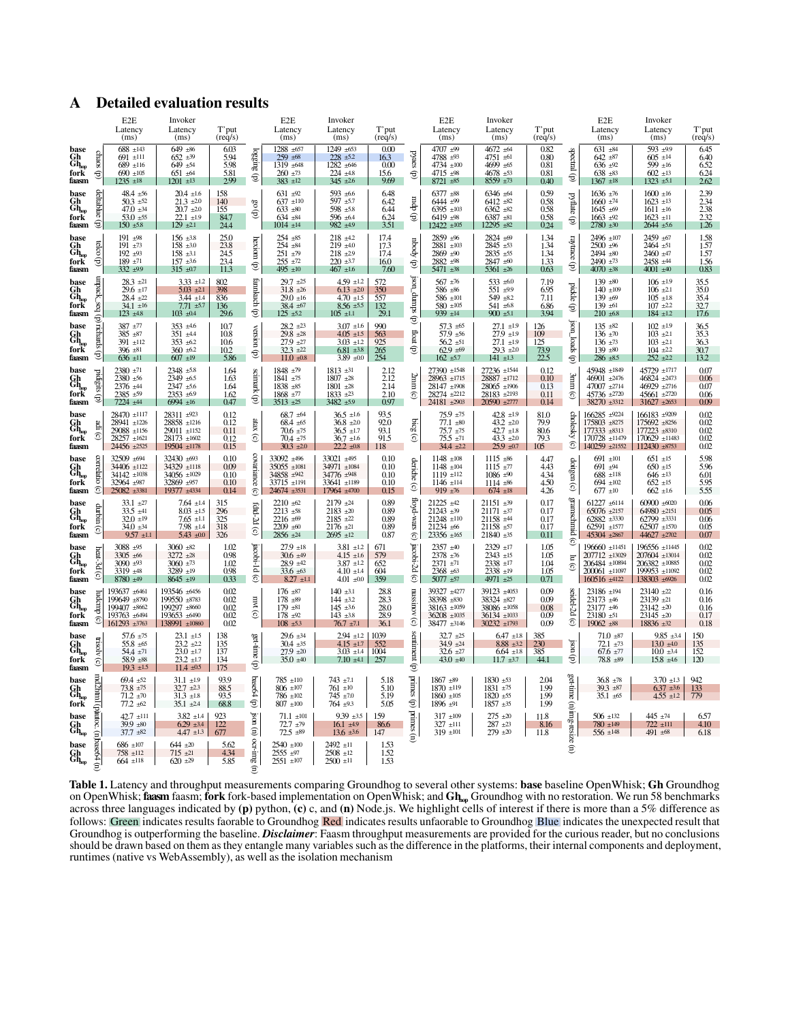# <span id="page-14-0"></span>A Detailed evaluation results

|                                                                                                                  |                                    | E <sub>2</sub> E<br>Latency<br>(ms)                                              | Invoker<br>Latency<br>(ms)                                                             | T'put<br>$(\text{req/s})$            |                                      | E <sub>2</sub> E<br>Latency<br>(ms)                                              | Invoker<br>Latency<br>(ms)                                                             | T'put<br>$(\text{req/s})$                |                                       | E2E<br>Latency<br>(ms)                                                         | Invoker<br>Latency<br>(ms)                                                             | T'put<br>$(\text{req/s})$            |                                | E <sub>2</sub> E<br>Latency<br>(ms)                                                   | Invoker<br>Latency<br>(ms)                                                                   | T'put<br>$(\text{req/s})$                   |
|------------------------------------------------------------------------------------------------------------------|------------------------------------|----------------------------------------------------------------------------------|----------------------------------------------------------------------------------------|--------------------------------------|--------------------------------------|----------------------------------------------------------------------------------|----------------------------------------------------------------------------------------|------------------------------------------|---------------------------------------|--------------------------------------------------------------------------------|----------------------------------------------------------------------------------------|--------------------------------------|--------------------------------|---------------------------------------------------------------------------------------|----------------------------------------------------------------------------------------------|---------------------------------------------|
| base<br>$\operatorname{Gh}_{\mathrm{hop}}$<br>fork<br>faasm                                                      | chaos<br>€                         | $688 + 143$<br>$691$ ±111<br>$689 + 116$<br>$690 \pm 105$<br>$1235 \pm 18$       | $649 + 86$<br>$652 \pm 39$<br>$649 + 54$<br>$651 \pm 64$<br>$1201 \pm 13$              | 6.03<br>5.94<br>5.98<br>5.81<br>2.99 | logging<br>€                         | 1288 ±657<br>$259 + 68$<br>1319 ±648<br>$260 \pm 73$<br>$383 + 12$               | 1249 ±653<br>$228 + 52$<br>1282 ±646<br>$224 + 48$<br>$345 \pm 2.6$                    | 0.00<br>16.3<br>0.00<br>15.6<br>9.69     | pyaes<br>€                            | 4707 ±99<br>4788 ±93<br>4734 $\pm 100$<br>4715 ±98<br>$8721 \pm 85$            | 4672 ±64<br>4751 ±61<br>4699 ±65<br>$4678 + 53$<br>$8559 + 73$                         | 0.82<br>0.80<br>0.81<br>0.81<br>0.40 | pectral<br>€                   | $631 + 84$<br>$642 + 87$<br>$636 + 92$<br>$638 + 83$<br>$1367 \pm 18$                 | 593 ±99<br>$605 \pm 14$<br>599 $±16$<br>$602 \pm 13$<br>$1323 \pm 5.1$                       | 6.45<br>6.40<br>6.52<br>6.24<br>2.62        |
| base<br>$\operatorname*{Gh}\nolimits_{\text{hop}}$<br>fork<br>faasm                                              | deltablue<br>€                     | $48.4 \pm 56$<br>$50.3 + 52$<br>$47.0 \pm 34$<br>$53.0 + 55$<br>$150 \pm 5.8$    | $20.4 \pm 1.6$<br>$21.3 \pm 2.0$<br>$20.7 \pm 2.0$<br>$22.1 \pm 1.9$<br>$129 \pm 2.1$  | 158<br>140<br>155<br>84.7<br>24.4    | °S<br>€                              | $631 \pm 92$<br>$637 + 110$<br>$633 \pm 80$<br>$634 \pm 84$<br>$1014 + 14$       | 593 $±6.6$<br>$597 + 5.7$<br>598 $\pm$ 5.8<br>596 ±6.4<br>982 ±4.9                     | 6.48<br>6.42<br>6.44<br>6.24<br>3.51     | $(d)$ dp $m$                          | $6377 + 88$<br>6444 ±99<br>$6395 \pm 103$<br>$6419 + 98$<br>$12422 \pm 105$    | $6346 \pm 64$<br>$6412 + 82$<br>$6362 \pm 82$<br>$6387 + 81$<br>$12295 \pm 82$         | 0.59<br>0.58<br>0.58<br>0.58<br>0.24 | pyflate<br>€                   | $1636 \pm 76$<br>$1660 + 74$<br>$1645 \pm 69$<br>$1663 +92$<br>$2780 \pm 30$          | $1600 + 16$<br>$1623 \pm 13$<br>$1611 \pm 16$<br>$1623 \pm 11$<br>$2644 + 5.6$               | 2.39<br>2.34<br>$\frac{2.38}{2.32}$<br>1.26 |
| base<br>$\operatorname*{Gh}\nolimits_{\text{top}}$<br>fork<br>faasm                                              | telco<br>€                         | 191 $\pm$ 98<br>$191 + 73$<br>$192 + 93$<br>$189 + 71$<br>332 ±9.9               | $156 \pm 3.8$<br>$158 \pm 3.0$<br>$158 \pm 3.1$<br>$157 \pm 3.6$<br>$315 \pm 0.7$      | 25.0<br>23.8<br>24.5<br>23.4<br>11.3 | hexiom<br>€                          | $254 + 85$<br>$254 + 84$<br>$251 + 79$<br>$255 \pm 72$<br>495 $\pm 10$           | $218 + 42$<br>$219 + 40$<br>$218 + 29$<br>$220 + 3.7$<br>$467$ ±1.6                    | 17.4<br>17.3<br>17.4<br>16.0<br>7.60     | ybodr<br>$\oplus$                     | 2859 ±96<br>$2881 + 103$<br>$2869 + 90$<br>2882 ±98<br>$5471 \pm 38$           | 2824 ±69<br>2845 ±53<br>2835 ±55<br>2847 ±60<br>5361 $\pm 26$                          | 1.34<br>1.34<br>1.34<br>1.33<br>0.63 | raytrace<br>€                  | 2496 ±107<br>$2500 + 96$<br>$2494 + 80$<br>$2490 + 73$<br>$4070 \pm 38$               | $2459 + 67$<br>2464 ±51<br>$2460 + 47$<br>2458 ±44<br>$4001 \pm 40$                          | 1.58<br>1.57<br>1.57<br>1.56<br>0.83        |
| hase<br>$\operatorname{Gh}_{\mathrm{top}}$<br>fork<br>faasm                                                      | bos <sup>-</sup> spedun<br>€       | $28.3 \pm 21$<br>$29.6 \pm 17$<br>28.4 ±22<br>34.1 $\pm 16$<br>$123 + 48$        | $3.33 \pm 1.2$<br>$5.03 \pm 2.1$<br>$3.44 \pm 1.4$<br>$7.71 + 5.7$<br>$103 \pm 0.4$    | 802<br>398<br>836<br>136<br>29.6     | fannkuch<br>€                        | $29.7 +25$<br>$31.8 \pm 26$<br>$29.0 \pm 16$<br>$38.4 \pm 67$<br>$125 + 52$      | $4.59$ ±1.2<br>$6.13 \pm 2.0$<br>$4.70 \pm 1.5$<br>$8.56 \pm 5.5$<br>$105$ ±1.1        | 572<br>350<br>557<br>132<br>29.1         | (d) sdump <sup>-</sup> uos(           | $567 + 76$<br>$586 + 86$<br>$586 \pm 101$<br>$580 + 105$<br>$939 + 14$         | 533 $\pm 6.0$<br>551 ±9.9<br>$549 + 82$<br>541 $\pm 6.8$<br>$900 \pm 5.1$              | 7.19<br>6.95<br>7.11<br>6.86<br>3.94 | pickle<br>€                    | $139 + 80$<br>$140 + 109$<br>139 $±69$<br>$139 + 61$<br>$210 + 6.8$                   | $106 \pm 1.9$<br>$106 \pm 2.1$<br>$105 \pm 1.8$<br>$107 + 22$<br>$184 + 12$                  | 35.5<br>35.0<br>35.4<br>32.7<br>17.6        |
| base<br>Gh<br>$\mathbf{G}\mathbf{h}_{\mathrm{top}}$<br>fork<br>faasm                                             | richards<br>€                      | $387 + 77$<br>$385 + 87$<br>$391 + 112$<br>$396 + 81$<br>$636 \pm 11$            | $353 + 4.6$<br>$351 + 4.4$<br>$353 + 62$<br>$360 + 62$<br>$607$ ±19                    | 107<br>10.8<br>10.6<br>10.2<br>5.86  | wersion<br>€                         | $28.2 \pm 23$<br>$29.8 \pm 28$<br>$27.9 +27$<br>$32.3 +22$<br>$11.0 \pm 0.8$     | $3.07 + 1.6$<br>$4.05 \pm 1.5$<br>$3.03 + 1.2$<br>$6.81 \pm 3.8$<br>$3.89 + 0.0$       | 990<br>563<br>925<br>265<br>254          | Hoat<br>€                             | $57.3 + 65$<br>$57.9 + 56$<br>$56.2 \pm 51$<br>$62.9 + 69$<br>$162 \pm 5.7$    | $27.1 \pm 1.9$<br>$27.9$ ±1.9<br>$27.1 \pm 1.9$<br>$29.3 \pm 2.0$<br>$141 \pm 13$      | 126<br>109<br>125<br>73.9<br>22.5    | json_loads<br>€                | $135 + 82$<br>$136 \pm 70$<br>$136 \pm 73$<br>$139 + 80$<br>$286 \pm 8.5$             | $102 + 19$<br>$103 \pm 2.1$<br>$103 \pm 2.1$<br>$104 + 22$<br>$252 \pm 22$                   | 36.5<br>35.3<br>36.3<br>30.7<br>13.2        |
| hase<br>$\operatorname*{Gh}\nolimits_{\text{top}}$<br>fork<br>faasm                                              | pidigits<br>€                      | $2380 + 71$<br>$2380 + 56$<br>2376 ±44<br>$2385 + 59$<br>7224 ±44                | $2348 + 5.8$<br>2349 ±6.5<br>2347 ±5.6<br>$2353 +69$<br>$6994 \pm 16$                  | 1.64<br>1.63<br>1.64<br>1.62<br>0.47 | scimark (p)                          | 1848 ±79<br>1841 ±75<br>$1838 + 85$<br>$1868 + 77$<br>3513 ± 25                  | $1813 + 31$<br>$1807 +28$<br>$1801 + 28$<br>$1833 \pm 23$<br>$3482 + 5.9$              | $2.12$<br>$2.12$<br>2.14<br>2.10<br>0.97 | 2nm<br>$\odot$                        | 27390 ±1548<br>28963 ±1715<br>28147 ±1908<br>28274 ±2212<br>24181 ±2903        | 27236 ±1544<br>$28887$ ±1712<br>$28065$ $\pm 1906$<br>28183 ±2193<br>$20590 \pm 2777$  | 0.12<br>0.10<br>0.13<br>0.11<br>0.14 | 3mm.<br>$\widehat{\mathbf{c}}$ | 45948 ±1849<br>46901 ±2476<br>47007 ±2714<br>45736 ±2720<br>38270 ±3312               | 45729 ±1717<br>46824 ± 2473<br>46929 ±2716<br>$45661 + 2720$<br>$31627 + 2653$               | 0.07<br>0.06<br>0.07<br>0.06<br>0.09        |
| base<br>$\operatorname{Gh}_{\mathrm{top}}$<br>fork<br>faasm                                                      | Ë.<br>$\widehat{\mathbf{c}}$       | 28470 ±1117<br>28941 ±1226<br>$29088$ ±1156<br>$28257 + 1621$<br>24456 ±2525     | 28311 ±923<br>28858 ±1216<br>29011 ±1152<br>$28173 + 1602$<br>19504 ±1178              | 0.12<br>0.12<br>0.11<br>0.12<br>0.15 | atax<br>ô                            | $68.7 + 64$<br>$68.4 \pm 65$<br>$70.6 \pm 75$<br>$70.4 \pm 75$<br>$30.3 \pm 2.0$ | $36.5 \pm 1.6$<br>$36.8 \pm 2.0$<br>$36.5 \pm 1.7$<br>$36.7 + 1.6$<br>$22.2 \pm 0.8$   | 93.5<br>92.0<br>93.1<br>91.5<br>118      | bicg<br>⊙                             | $75.9 + 75$<br>$77.1 \pm 80$<br>75.7 ±75<br>$75.5 + 71$<br>$34.4 \pm 2.2$      | $42.8 \pm 1.9$<br>43.2 $\pm 2.0$<br>$42.7 \pm 1.8$<br>$43.3 \pm 2.0$<br>$25.9 \pm 0.7$ | 81.0<br>79.9<br>80.6<br>793<br>105   | cholesky<br>T                  | 166285 ±9224<br>175803 ±8275<br>177333 ±8313<br>170728 ±11479<br>140259 ±21552        | 166183 ±9209<br>175692 ±8256<br>177223 ±8310<br>$170629$ ±11483<br>$112430 \pm 8753$         | 0.02<br>0.02<br>0.02<br>0.02<br>0.02        |
| base<br>$\operatorname{Gh}_{\scriptscriptstyle{\mathrm{hop}}}^{\scriptscriptstyle{\mathrm{h}}}$<br>fork<br>faasm | comel<br><b>Bill</b><br>⊙          | 32509 ±694<br>34406 ±1122<br>$34142 \pm 1038$<br>32964 ±987<br>25082 ±3381       | 32430 ±693<br>34329 ±1118<br>$34056 \pm 1029$<br>32869 ±957<br>19377 ±4334             | 0.10<br>0.09<br>0.10<br>0.10<br>0.14 | covariance<br>$\widehat{c}$          | 33092 ±496<br>$35055 \pm 1081$<br>34858 ±942<br>33715 ±1191<br>24674 ±3531       | 33021 ±495<br>34971 ±1084<br>34776 ±948<br>33641 ±1189<br>17964 ±4700                  | 0.10<br>0.10<br>0.10<br>0.10<br>0.15     | deriche<br>T                          | $1148 \pm 108$<br>$1148 + 104$<br>$1119 + 112$<br>$1146$ ±114<br>$919 \pm 76$  | $1115 + 86$<br>$1115 + 77$<br>$1086 + 90$<br>$1114 + 86$<br>$674 \pm 18$               | 4.47<br>4.43<br>4.34<br>4.50<br>4.26 | doitgen<br>$\widehat{\circ}$   | $691 \pm 101$<br>$691 + 94$<br>$688 + 118$<br>$694 \pm 102$<br>$677 \pm 10$           | $651 \pm 15$<br>$650 \pm 15$<br>$646 \pm 13$<br>$652 \pm 15$<br>$662 \pm 1.6$                | 5.98<br>5.96<br>6.01<br>5.95<br>5.55        |
| base<br>$\operatorname*{Gh}\nolimits_{\text{hop}}$<br>fork<br>faasm                                              | durbin<br>⊙                        | $33.1 +27$<br>$33.5 + 41$<br>$32.0 \pm 19$<br>$34.0 \pm 34$<br>$9.57 \pm 1.1$    | $7.64$ $\pm 1.4$<br>$8.03 + 1.5$<br>$7.65 \pm 1.1$<br>$7.98 \pm 1.4$<br>$5.43 \pm 0.0$ | 315<br>296<br>325<br>318<br>326      | fdtd-2d<br>T                         | $2210 +62$<br>$2213 + 58$<br>$2216 \pm 69$<br>$2209 + 60$<br>$2856 \pm 24$       | $2179 +24$<br>$2183 + 20$<br>$2185 +22$<br>$2176 \pm 21$<br>$2695 \pm 12$              | 0.89<br>0.89<br>0.89<br>0.89<br>0.87     | floyd-wars<br>$\widehat{\mathcal{C}}$ | 21225 ±42<br>$21243 \pm 39$<br>21248 ±110<br>$21234 \pm 66$<br>$23356 \pm 165$ | $21151 \pm 39$<br>$21171 + 37$<br>21158 ±44<br>$21158 + 57$<br>$21840 \pm 35$          | 0.17<br>0.17<br>0.17<br>0.17<br>0.11 | gramschmid                     | 61227 ±6114<br>$65076$ $\pm 2157$<br>62882 ±3330<br>$62591$ ±1577<br>45304 ±2867      | $60900 \pm 6020$<br>$64980 + 2151$<br>$62799 \pm 3331$<br>$62507$ ±1570<br>44627 ±2702       | 0.06<br>0.05<br>0.06<br>0.05<br>0.07        |
| base<br>Ģþ<br>$\tilde{G}h_{\text{top}}$<br>fork<br>faasm                                                         | heat-3d<br>⊙                       | $3088 + 95$<br>3305 ±66<br>$3090 + 93$<br>3319 $±48$<br>8780 ±49                 | $3060 + 82$<br>3272 ±28<br>$3060 + 73$<br>3289 $\pm$ 19<br>$8645 \pm 19$               | 1.02<br>0.98<br>1.02<br>0.98<br>0.33 | jacobi-1d<br>$\widehat{\mathcal{C}}$ | $27.9 + 18$<br>$30.6 \pm 49$<br>$28.9 + 42$<br>$33.6 \pm 63$<br>$8.27 \pm 1.1$   | $3.81 \pm 1.2$<br>$4.15 \pm 1.6$<br>$3.87 \pm 1.2$<br>$4.10 \pm 1.4$<br>$4.01 \pm 0.0$ | 671<br>579<br>652<br>604<br>359          | jacobi-2d<br>$\odot$                  | $2357 + 40$<br>2378 ±76<br>$2371 + 71$<br>$2368 + 63$<br>$5077 + 57$           | $2329$ ±17<br>$2343 + 15$<br>$2338 + 17$<br>$2338 + 19$<br>4971 ±25                    | 1.05<br>1.05<br>1.04<br>1.05<br>0.71 | ි<br>Ξ<br>T                    | $196660 \pm 11451$<br>207712 ±13029<br>206484 ±10894<br>200061 ±11097<br>160516 ±4122 | $196556$ ±11445<br>207604 ±13014<br>$206382 \pm 10885$<br>$199953 \pm 11092$<br>138303 ±6926 | 0.02<br>0.02<br>0.02<br>0.02<br>0.02        |
| base<br>$\operatorname*{Gh}\nolimits_{\text{hop}}$<br>fork<br>faasm                                              | ludcmp<br>ତ                        | 193637 ±6461<br>199649 ±8790<br>199407 ±8662<br>193763 ±6494<br>161293 ±3763     | 193546 ±6456<br>199550 ±8783<br>199297 ±8660<br>193653 ±6490<br>138991 ±10860          | 0.02<br>0.02<br>0.02<br>0.02<br>0.02 | m t(c)                               | $176 \pm 87$<br>$178 + 89$<br>$179 \pm 81$<br>$178 + 92$<br>$108 + 53$           | 140 $\pm 3.1$<br>$144 + 32$<br>$145 \pm 3.6$<br>$143 + 3.8$<br>$76.7 \pm 7.1$          | 28.8<br>28.3<br>28.0<br>28.9<br>36.1     | nussinov<br>$\odot$                   | 39327 ±4277<br>38398 ±830<br>38163 ±1059<br>$36208 \pm 1035$<br>38477 ±3146    | 39123 ±4053<br>38324 ±827<br>38086 ±1058<br>$36134 + 1033$<br>$30232 + 1793$           | 0.09<br>0.09<br>0.08<br>0.09<br>0.09 | seidel-2d<br>$\widehat{\circ}$ | 23186 ±194<br>$23173 \pm 46$<br>23177 ±46<br>23180 ±51<br>$19062 \pm 88$              | $23140 \pm 22$<br>$23139 + 21$<br>$23142 \pm 20$<br>$23145 \pm 20$<br>$18836 \pm 32$         | 0.16<br>0.16<br>0.16<br>0.17<br>0.18        |
| base<br>Gh<br>$\mathbf{G}\mathbf{h}_{\mathrm{top}}$<br>fork<br>faasm                                             | trisolv<br>T                       | $57.6 \pm 75$<br>$55.8 + 65$<br>$54.4 \pm 71$<br>58.9 $\pm 88$<br>$19.3 \pm 1.5$ | $23.1 \pm 1.5$<br>$23.2 \pm 2.2$<br>$23.0 \pm 1.7$<br>$23.2 \pm 1.7$<br>$11.4 \pm 0.5$ | 138<br>135<br>137<br>134<br>175      | get-time<br>€                        | $29.6 \pm 34$<br>$30.4 \pm 35$<br>$27.9 \pm 20$<br>$35.0 + 40$                   | $2.94 \pm 1.2$<br>$4.15 \pm 1.7$<br>$3.03 \pm 1.4$<br>$7.10 \pm 4.1$                   | 1039<br>552<br>1004<br>257               | sentiment (p)                         | $32.7 + 25$<br>$34.9 \pm 24$<br>$32.6 \pm 27$<br>43.0 $±40$                    | $6.47 \pm 1.8$<br>$8.88 \pm 3.2$<br>$6.64 \pm 1.8$<br>$11.7 \pm 3.7$                   | 385<br>230<br>385<br>44.1            | uosi<br>$\oplus$               | $71.0 + 87$<br>$72.1 \pm 73$<br>$67.6 \pm 77$<br>$78.8 \pm 89$                        | $9.85 \pm 3.4$<br>$13.0 \pm 4.0$<br>$10.0 \pm 3.4$<br>$15.8 \pm 4.6$                         | 150<br>135<br>152<br>120                    |
| base<br>$\operatorname*{Gh}\nolimits_{\text{top}}$<br>fork                                                       | E<br><b>Zhtml</b>                  | $69.4 \pm 52$<br>$73.8 \pm 75$<br>$71.2 \pm 70$<br>$77.2 \pm 62$                 | $31.1 \pm 1.9$<br>$32.7 \pm 2.3$<br>$31.3 + 1.8$<br>$35.1 \pm 2.4$                     | 93.9<br>88.5<br>93.5<br>68.8         | base64<br>€                          | 785 ±110<br>$806 \pm 107$<br>$786 + 102$<br>$807 \pm 100$                        | $743 \pm 7.1$<br>$761 \pm 10$<br>$745 \pm 70$<br>$764 + 93$                            | 5.18<br>5.10<br>5.19<br>5.05             | primes (p)                            | $1867 + 89$<br>$1870 + 119$<br>$1860 + 105$<br>$1896 \pm 91$                   | $1830 \pm 53$<br>$1831 + 75$<br>$1820 + 55$<br>$1857 + 35$                             | 2.04<br>1.99<br>1.99<br>1.99         | get-time                       | $36.8 \pm 78$<br>$39.3 + 87$<br>$35.1 \pm 65$                                         | $3.70 \pm 1.3$<br>$6.37 \pm 3.6$<br>$4.55 \pm 1.2$                                           | 942<br>133<br>779                           |
| base<br>ն<br>ներ                                                                                                 | (pautoc.<br>$\widehat{\mathbf{E}}$ | $42.7 \pm 111$<br>$39.9 \pm 80$<br>$37.7 \pm 82$                                 | $3.82 \pm 1.4$<br>$6.29 \pm 3.4$<br>$4.47 \pm 1.3$                                     | 923<br>122<br>677                    | uosi<br>$\epsilon$                   | $71.1 \pm 101$<br>$72.7 \pm 79$<br>$72.5 \pm 89$                                 | $9.39 \pm 3.5$<br>$16.1 \pm 4.9$<br>$13.6 \pm 3.6$                                     | 159<br>86.6<br>147                       | primes                                | $317 + 109$<br>$327 + 111$<br>$319 + 101$                                      | $275 + 20$<br>$287 + 23$<br>$279 + 20$                                                 | 11.8<br>8.16<br>11.8                 | (n)img-resize                  | $506 \pm 132$<br>780 ±149<br>$556 \pm 148$                                            | 445 $±74$<br>$722 \pm 111$<br>491 $±68$                                                      | 6.57<br>4.10<br>6.18                        |
| base<br>$\operatorname*{Gh}\nolimits_{\text{hop}}$                                                               | base64<br>$\hat{\mathbf{r}}$       | $686 \pm 107$<br>$758 + 112$<br>$664 \pm 118$                                    | $644 \pm 20$<br>$715 \pm 21$<br>$620 \pm 29$                                           | 5.62<br>4.34<br>5.85                 | ocr-mg                               | $2540 \pm 100$<br>2555 ±97<br>$2551 + 107$                                       | $2492 \pm 11$<br>$2508 + 12$<br>$2500 \pm 11$                                          | 1.53<br>1.52<br>1.53                     | Ê                                     |                                                                                |                                                                                        |                                      | $\widehat{\Xi}$                |                                                                                       |                                                                                              |                                             |

Table 1. Latency and throughput measurements comparing Groundhog to several other systems: base baseline OpenWhisk; Gh Groundhog on OpenWhisk; **faasm** faasm; **fork** fork-based implementation on OpenWhisk; and  $Gh_{\rm{up}}$  Groundhog with no restoration. We run 58 benchmarks across three languages indicated by  $(p)$  python,  $(c)$  c, and  $(n)$  Node.js. We highlight cells of interest if there is more than a 5% difference as follows: Green indicates results faorable to Groundhog Red indicates results unfaorable to Groundhog Blue indicates the unexpected result that Groundhog is outperforming the baseline. *Disclaimer*: Faasm throughput measurements are provided for the curious reader, but no conclusions should be drawn based on them as they entangle many variables such as the difference in the platforms, their internal components and deployment, runtimes (native vs WebAssembly), as well as the isolation mechanism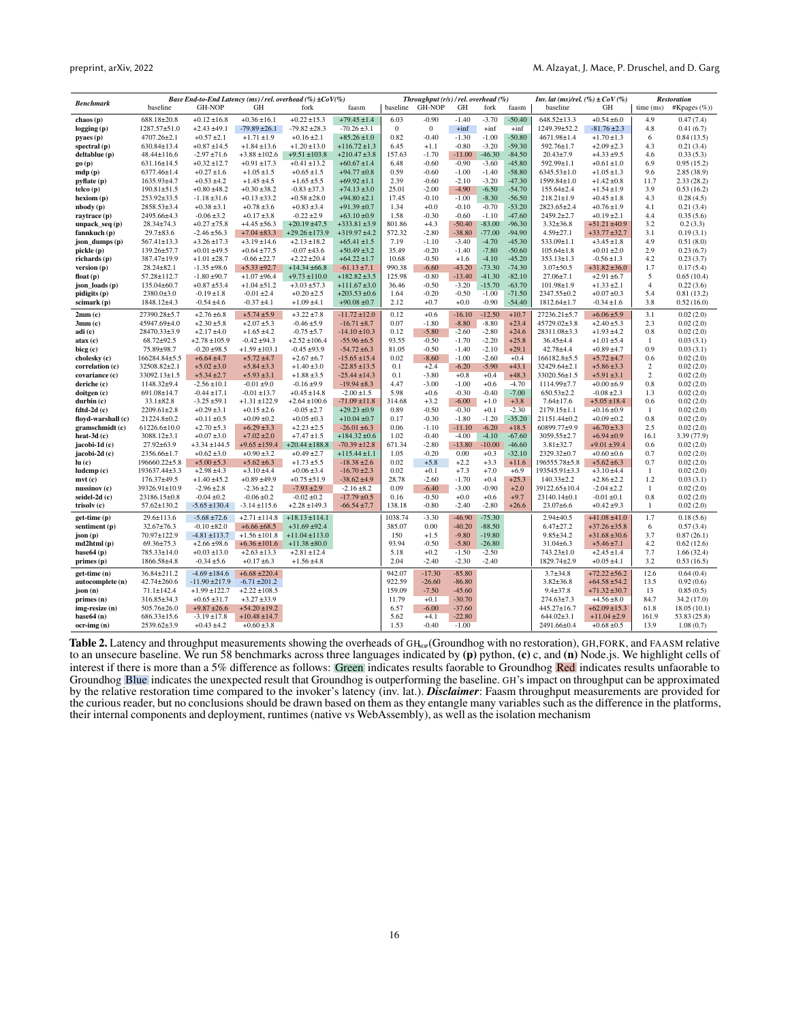| <b>Benchmark</b>            |                    |                    |                   | Base End-to-End Latency (ms) / rel. overhead (%) $\pm CoV$ %) |                   |              | Throughput $(r/s)$ / rel. overhead $(\%)$ |          |          |          | Inv. lat $(ms)/rel.$ (%) $\pm CoV$ (%) |                   |                | <b>Restoration</b> |
|-----------------------------|--------------------|--------------------|-------------------|---------------------------------------------------------------|-------------------|--------------|-------------------------------------------|----------|----------|----------|----------------------------------------|-------------------|----------------|--------------------|
|                             | baseline           | <b>GH-NOP</b>      | GH                | fork                                                          | faasm             | baseline     | <b>GH-NOP</b>                             | GH       | fork     | faasm    | baseline                               | GH                | time (ms)      | #Kpages $(\%)$     |
| chaos (p)                   | 688.18±20.8        | $+0.12 \pm 16.8$   | $+0.36 \pm 16.1$  | $+0.22 \pm 15.3$                                              | $+79.45 \pm 1.4$  | 6.03         | $-0.90$                                   | $-1.40$  | $-3.70$  | $-50.40$ | $648.52 \pm 13.3$                      | $+0.54 + 6.0$     | 4.9            | 0.47(7.4)          |
| logging (p)                 | 1287.57±51.0       | $+2.43 \pm 49.1$   | $-79.89 \pm 26.1$ | $-79.82 \pm 28.3$                                             | $-70.26 \pm 3.1$  | $\mathbf{0}$ | $\bf{0}$                                  | $+$ inf  | $+inf$   | $+inf$   | 1249.39±52.2                           | $-81.76 \pm 2.3$  | 4.8            | 0.41(6.7)          |
| pyaes (p)                   | 4707.26±2.1        | $+0.57 \pm 2.1$    | $+1.71 \pm 1.9$   | $+0.16 \pm 2.1$                                               | $+85.26 \pm 1.0$  | 0.82         | $-0.40$                                   | $-1.30$  | $-1.00$  | $-50.80$ | 4671.98±1.4                            | $+1.70 \pm 1.3$   | 6              | 0.84(13.5)         |
| spectral (p)                | 630.84±13.4        | $+0.87 \pm 14.5$   | $+1.84 \pm 13.6$  | $+1.20 \pm 13.0$                                              | $+116.72 \pm 1.3$ | 6.45         | $+1.1$                                    | $-0.80$  | $-3.20$  | $-59.30$ | 592.76±1.7                             | $+2.09 \pm 2.3$   | 4.3            | 0.21(3.4)          |
| deltablue (p)               | 48.44±116.6        | $-2.97 + 71.6$     | $+3.88 \pm 102.6$ | $+9.51 \pm 103.8$                                             | $+210.47 \pm 3.8$ | 157.63       | $-1.70$                                   | $-11.00$ | $-46.30$ | $-84.50$ | $20.43 \pm 7.9$                        | $+4.33 + 9.5$     | 4.6            | 0.33(5.3)          |
| go(p)                       | $631.16 \pm 14.5$  | $+0.32 \pm 12.7$   | $+0.91 \pm 17.3$  | $+0.41 \pm 13.2$                                              | $+60.67 \pm 1.4$  | 6.48         | $-0.60$                                   | $-0.90$  | $-3.60$  | $-45.80$ | 592.99±1.1                             | $+0.61 \pm 1.0$   | 6.9            | 0.95(15.2)         |
| mdp (p)                     | $6377.46 \pm 1.4$  | $+0.27 \pm 1.6$    | $+1.05 \pm 1.5$   | $+0.65 \pm 1.5$                                               | $+94.77 \pm 0.8$  | 0.59         | $-0.60$                                   | $-1.00$  | $-1.40$  | $-58.80$ | 6345.53±1.0                            | $+1.05 \pm 1.3$   | 9.6            | 2.85(38.9)         |
| pyflate (p)                 | 1635.93±4.7        | $+0.53 \pm 4.2$    | $+1.45 \pm 4.5$   | $+1.65 \pm 5.5$                                               | $+69.92 \pm 1.1$  | 2.39         | $-0.60$                                   | $-2.10$  | $-3.20$  | $-47.30$ | 1599.84±1.0                            | $+1.42 \pm 0.8$   | 11.7           | 2.33(28.2)         |
| telco(p)                    | $190.81 \pm 51.5$  | $+0.80 + 48.2$     | $+0.30 \pm 38.2$  | $-0.83 + 37.3$                                                | $+74.13 \pm 3.0$  | 25.01        | $-2.00$                                   | $-4.90$  | $-6.50$  | $-54.70$ | 155.64±2.4                             | $+1.54 \pm 1.9$   | 3.9            | 0.53(16.2)         |
| hexiom (p)                  | 253.92±33.5        | $-1.18 \pm 31.6$   | $+0.13 \pm 33.2$  | $+0.58 + 28.0$                                                | $+94.80 \pm 2.1$  | 17.45        | $-0.10$                                   | $-1.00$  | $-8.30$  | $-56.50$ | $218.21 \pm 1.9$                       | $+0.45 \pm 1.8$   | 4.3            | 0.28(4.5)          |
| nbody (p)                   | 2858.53±3.4        | $+0.38 \pm 3.1$    | $+0.78 \pm 3.6$   | $+0.83 \pm 3.4$                                               | $+91.39 \pm 0.7$  | 1.34         | $+0.0$                                    | $-0.10$  | $-0.70$  | $-53.20$ | 2823.65±2.4                            | $+0.76 \pm 1.9$   | 4.1            | 0.21(3.4)          |
| raytrace (p)                | 2495.66±4.3        | $-0.06 \pm 3.2$    | $+0.17 \pm 3.8$   | $-0.22 \pm 2.9$                                               | $+63.10 \pm 0.9$  | 1.58         | $-0.30$                                   | $-0.60$  | $-1.10$  | $-47.60$ | $2459.2 \pm 2.7$                       | $+0.19 \pm 2.1$   | 4.4            | 0.35(5.6)          |
| unpack_seq (p)              | 28.34±74.3         | $+0.27 + 75.8$     | $+4.45 \pm 56.3$  | $+20.19 \pm 47.5$                                             | $+333.81 \pm 3.9$ | 801.86       | $+4.3$                                    | $-50.40$ | $-83.00$ | $-96.30$ | $3.32 \pm 36.8$                        | $+51.21 \pm 40.9$ | 3.2            | 0.2(3.3)           |
| fannkuch (p)                | $29.7 \pm 83.6$    | $-2.46 \pm 56.3$   | $+7.04 \pm 83.3$  | $+29.26 \pm 173.9$                                            | $+319.97 +4.2$    | 572.32       | $-2.80$                                   | $-38.80$ | $-77.00$ | $-94.90$ | $4.59 \pm 27.1$                        | $+33.77 + 32.7$   | 3.1            | 0.19(3.1)          |
| json_dumps (p)              | $567.41 \pm 13.3$  | $+3.26 \pm 17.3$   | $+3.19 \pm 14.6$  | $+2.13 \pm 18.2$                                              | $+65.41 \pm 1.5$  | 7.19         | $-1.10$                                   | $-3.40$  | $-4.70$  | $-45.30$ | 533.09±1.1                             | $+3.45 \pm 1.8$   | 4.9            | 0.51(8.0)          |
| pickle (p)                  | $139.26 \pm 57.7$  | $+0.01 + 49.5$     | $+0.64 \pm 77.5$  | $-0.07 + 43.6$                                                | $+50.49 \pm 3.2$  | 35.49        | $-0.20$                                   | $-1.40$  | $-7.80$  | $-50.60$ | $105.64 \pm 1.8$                       | $+0.01 \pm 2.0$   | 2.9            | 0.23(6.7)          |
| richards (p)                | 387.47±19.9        | $+1.01 + 28.7$     | $-0.66 \pm 22.7$  | $+2.22 \pm 20.4$                                              | $+64.22 \pm 1.7$  | 10.68        | $-0.50$                                   | $+1.6$   | $-4.10$  | $-45.20$ | $353.13 \pm 1.3$                       | $-0.56 \pm 1.3$   | 4.2            | 0.23(3.7)          |
| version (p)                 | $28.24 \pm 82.1$   | $-1.35 + 98.6$     | $+5.33 + 92.7$    | $+14.34 \pm 66.8$                                             | $-61.13 \pm 7.1$  | 990.38       | $-6.60$                                   | $-43.20$ | $-73.30$ | $-74.30$ | $3.07 + 50.5$                          | $+31.82 \pm 36.0$ | 1.7            | 0.17(5.4)          |
| float $(p)$                 | 57.28±112.7        | $-1.80 + 90.7$     | $+1.07 + 96.4$    | $+9.73 \pm 110.0$                                             | $+182.82 \pm 3.5$ | 125.98       | $-0.80$                                   | $-13.40$ | $-41.30$ | $-82.10$ | $27.06 \pm 7.1$                        | $+2.91 \pm 6.7$   | 5              | 0.65(10.4)         |
| json_loads (p)              | 135.04±60.7        | $+0.87 + 53.4$     | $+1.04 \pm 51.2$  | $+3.03 \pm 57.3$                                              | $+111.67 \pm 3.0$ | 36.46        | $-0.50$                                   | $-3.20$  | $-15.70$ | $-63.70$ | $101.98 \pm 1.9$                       | $+1.33 \pm 2.1$   | $\overline{4}$ | 0.22(3.6)          |
| pidigits (p)                | $2380.0 \pm 3.0$   | $-0.19 \pm 1.8$    | $-0.01 \pm 2.4$   | $+0.20 \pm 2.5$                                               | $+203.53 \pm 0.6$ | 1.64         | $-0.20$                                   | $-0.50$  | $-1.00$  | $-71.50$ | 2347.55±0.2                            | $+0.07 \pm 0.3$   | 5.4            | 0.81(13.2)         |
| scimark (p)                 | 1848.12±4.3        | $-0.54 + 4.6$      | $-0.37 + 4.1$     | $+1.09 \pm 4.1$                                               | $+90.08 \pm 0.7$  | 2.12         | $+0.7$                                    | $+0.0$   | $-0.90$  | $-54.40$ | 1812.64±1.7                            | $-0.34 \pm 1.6$   | 3.8            | 0.52(16.0)         |
| 2mm(c)                      | 27390.28±5.7       | $+2.76 \pm 6.8$    | $+5.74 \pm 5.9$   | $+3.22 \pm 7.8$                                               | $-11.72 \pm 12.0$ | 0.12         | $+0.6$                                    | $-16.10$ | $-12.50$ | $+10.7$  | 27236.21±5.7                           | $+6.06 \pm 5.9$   | 3.1            | 0.02(2.0)          |
| 3mm(c)                      | 45947.69±4.0       | $+2.30 \pm 5.8$    | $+2.07 + 5.3$     | $-0.46 \pm 5.9$                                               | $-16.71 \pm 8.7$  | 0.07         | $-1.80$                                   | $-8.80$  | $-8.80$  | $+23.4$  | 45729.02±3.8                           | $+2.40 \pm 5.3$   | 2.3            | 0.02(2.0)          |
| adi (c)                     | 28470.33±3.9       | $+2.17 \pm 4.0$    | $+1.65 \pm 4.2$   | $-0.75 + 5.7$                                                 | $-14.10 \pm 10.3$ | 0.12         | $-5.80$                                   | $-2.60$  | $-2.80$  | $+24.6$  | 28311.08±3.3                           | $+1.93 \pm 4.2$   | 0.8            | 0.02(2.0)          |
| atax(c)                     | 68.72±92.5         | $+2.78 \pm 105.9$  | $-0.42 \pm 94.3$  | $+2.52 \pm 106.4$                                             | $-55.96 \pm 6.5$  | 93.55        | $-0.50$                                   | $-1.70$  | $-2.20$  | $+25.8$  | $36.45 \pm 4.4$                        | $+1.01 \pm 5.4$   | $\mathbf{1}$   | 0.03(3.1)          |
| $\mathbf{bicg}(\mathbf{c})$ | 75.89±98.7         | $-0.20 + 98.5$     | $+1.59 \pm 103.1$ | $-0.45 + 93.9$                                                | $-54.72 \pm 6.3$  | 81.05        | $-0.50$                                   | $-1.40$  | $-2.10$  | $+29.1$  | 42.78±4.4                              | $+0.89 \pm 4.7$   | 0.9            | 0.03(3.1)          |
| cholesky (c)                | 166284.84±5.5      | $+6.64 \pm 4.7$    | $+5.72 \pm 4.7$   | $+2.67 + 6.7$                                                 | $-15.65 \pm 15.4$ | 0.02         | $-8.60$                                   | $-1.00$  | $-2.60$  | $+0.4$   | 166182.8±5.5                           | $+5.72 \pm 4.7$   | 0.6            | 0.02(2.0)          |
| correlation (c)             | 32508.82±2.1       | $+5.02 \pm 3.0$    | $+5.84 \pm 3.3$   | $+1.40 \pm 3.0$                                               | $-22.85 \pm 13.5$ | 0.1          | $+2.4$                                    | $-6.20$  | $-5.90$  | $+43.1$  | 32429.64±2.1                           | $+5.86 \pm 3.3$   | 2              | 0.02(2.0)          |
| covariance (c)              | 33092.13±1.5       | $+5.34 \pm 2.7$    | $+5.93 \pm 3.1$   | $+1.88 \pm 3.5$                                               | $-25.44 \pm 14.3$ | 0.1          | $-3.80$                                   | $+0.8$   | $+0.4$   | $+48.3$  | 33020.56±1.5                           | $+5.91 \pm 3.1$   | $\overline{c}$ | 0.02(2.0)          |
| deriche (c)                 | 1148.32±9.4        | $-2.56 \pm 10.1$   | $-0.01 + 9.0$     | $-0.16 + 9.9$                                                 | $-19.94 \pm 8.3$  | 4.47         | $-3.00$                                   | $-1.00$  | $+0.6$   | $-4.70$  | 1114.99±7.7                            | $+0.00 + 6.9$     | 0.8            | 0.02(2.0)          |
| doitgen (c)                 | 691.08±14.7        | $-0.44 \pm 17.1$   | $-0.01 + 13.7$    | $+0.45 \pm 14.8$                                              | $-2.00 \pm 1.5$   | 5.98         | $+0.6$                                    | $-0.30$  | $-0.40$  | $-7.00$  | $650.53 \pm 2.2$                       | $-0.08 \pm 2.3$   | 1.3            | 0.02(2.0)          |
| durbin (c)                  | $33.1 \pm 82.8$    | $-3.25 + 59.1$     | $+1.31 \pm 122.9$ | $+2.64 \pm 100.6$                                             | $-71.09 \pm 11.8$ | 314.68       | $+3.2$                                    | $-6.00$  | $+1.0$   | $+3.8$   | $7.64 \pm 17.6$                        | $+5.05 \pm 18.4$  | 0.6            | 0.02(2.0)          |
| $fdtd-2d(c)$                | $2209.61 \pm 2.8$  | $+0.29 \pm 3.1$    | $+0.15 \pm 2.6$   | $-0.05 + 2.7$                                                 | $+29.23 \pm 0.9$  | 0.89         | $-0.50$                                   | $-0.30$  | $+0.1$   | $-2.30$  | 2179.15±1.1                            | $+0.16 \pm 0.9$   | -1             | 0.02(2.0)          |
| floyd-warshall (c)          | 21224.8±0.2        | $+0.11 \pm 0.5$    | $+0.09 \pm 0.2$   | $+0.05 \pm 0.3$                                               | $+10.04 \pm 0.7$  | 0.17         | $-0.30$                                   | $-1.80$  | $-1.20$  | $-35.20$ | 21151.44±0.2                           | $+0.09 \pm 0.2$   | 0.8            | 0.02(2.0)          |
| gramschmidt (c)             | $61226.6 \pm 10.0$ | $+2.70 \pm 5.3$    | $+6.29 \pm 3.3$   | $+2.23 \pm 2.5$                                               | $-26.01 \pm 6.3$  | 0.06         | $-1.10$                                   | $-11.10$ | $-6.20$  | $+18.5$  | 60899.77±9.9                           | $+6.70 \pm 3.3$   | 2.5            | 0.02(2.0)          |
| heat- $3d(c)$               | $3088.12 \pm 3.1$  | $+0.07 \pm 3.0$    | $+7.02 \pm 2.0$   | $+7.47 \pm 1.5$                                               | $+184.32 \pm 0.6$ | 1.02         | $-0.40$                                   | $-4.00$  | $-4.10$  | $-67.60$ | 3059.55±2.7                            | $+6.94 \pm 0.9$   | 16.1           | 3.39(77.9)         |
| jacobi-1d (c)               | 27.92±63.9         | $+3.34 \pm 144.5$  | $+9.65 \pm 159.4$ | $+20.44 \pm 188.8$                                            | $-70.39 \pm 12.8$ | 671.34       | $-2.80$                                   | $-13.80$ | $-10.00$ | $-46.60$ | $3.81 \pm 32.7$                        | $+9.01 \pm 39.4$  | 0.6            | 0.02(2.0)          |
| jacobi-2d (c)               | $2356.66 \pm 1.7$  | $+0.62 \pm 3.0$    | $+0.90 \pm 3.2$   | $+0.49 \pm 2.7$                                               | $+115.44 \pm 1.1$ | 1.05         | $-0.20$                                   | 0.00     | $+0.3$   | $-32.10$ | 2329.32±0.7                            | $+0.60 \pm 0.6$   | 0.7            | 0.02(2.0)          |
| $\ln(c)$                    | 196660.22±5.8      | $+5.00 \pm 5.3$    | $+5.62 \pm 6.3$   | $+1.73 \pm 5.5$                                               | $-18.38 \pm 2.6$  | 0.02         | $+5.8$                                    | $+2.2$   | $+3.3$   | $+11.6$  | 196555.78±5.8                          | $+5.62 \pm 6.3$   | 0.7            | 0.02(2.0)          |
| ludcmp (c)                  | 193637.44±3.3      | $+2.98 \pm 4.3$    | $+3.10 \pm 4.4$   | $+0.06 \pm 3.4$                                               | $-16.70 \pm 2.3$  | 0.02         | $+0.1$                                    | $+7.3$   | $+7.0$   | $+6.9$   | 193545.91±3.3                          | $+3.10 \pm 4.4$   | 1              | 0.02(2.0)          |
| mvt(c)                      | 176.37±49.5        | $+1.40 \pm 45.2$   | $+0.89 + 49.9$    | $+0.75 \pm 51.9$                                              | $-38.62 \pm 4.9$  | 28.78        | $-2.60$                                   | $-1.70$  | $+0.4$   | $+25.3$  | $140.33 \pm 2.2$                       | $+2.86 \pm 2.2$   | 1.2            | 0.03(3.1)          |
| $n$ ussinov $(c)$           | 39326.91±10.9      | $-2.96 \pm 2.8$    | $-2.36 \pm 2.2$   | $-7.93 \pm 2.9$                                               | $-2.16 \pm 8.2$   | 0.09         | $-6.40$                                   | $-3.00$  | $-0.90$  | $+2.0$   | 39122.65±10.4                          | $-2.04 \pm 2.2$   | $\mathbf{1}$   | 0.02(2.0)          |
| seidel-2d (c)               | 23186.15±0.8       | $-0.04 \pm 0.2$    | $-0.06 \pm 0.2$   | $-0.02 \pm 0.2$                                               | $-17.79 \pm 0.5$  | 0.16         | $-0.50$                                   | $+0.0$   | $+0.6$   | $+9.7$   | 23140.14±0.1                           | $-0.01 \pm 0.1$   | 0.8            | 0.02(2.0)          |
| trisolv (c)                 | 57.62±130.2        | $-5.65 \pm 130.4$  | $-3.14 \pm 115.6$ | $+2.28 \pm 149.3$                                             | $-66.54 \pm 7.7$  | 138.18       | $-0.80$                                   | $-2.40$  | $-2.80$  | $+26.6$  | $23.07\pm 6.6$                         | $+0.42 \pm 9.3$   | 1              | 0.02(2.0)          |
| get-time (p)                | 29.6±113.6         | $-5.68 \pm 72.6$   | $+2.71 \pm 114.8$ | $+18.13 \pm 114.1$                                            |                   | 1038.74      | $-3.30$                                   | $-46.90$ | $-75.30$ |          | $2.94 \pm 40.5$                        | $+41.08 \pm 41.0$ | 1.7            | 0.18(5.6)          |
| sentiment (p)               | 32.67±76.3         | $-0.10 + 82.0$     | $+6.66 \pm 68.5$  | $+31.69 \pm 92.4$                                             |                   | 385.07       | 0.00                                      | $-40.20$ | $-88.50$ |          | $6.47 + 27.2$                          | $+37.26 \pm 35.8$ | 6              | 0.57(3.4)          |
| json (p)                    | 70.97±122.9        | $-4.81 \pm 113.7$  | $+1.56 \pm 101.8$ | $+11.04 \pm 113.0$                                            |                   | 150          | $+1.5$                                    | $-9.80$  | $-19.80$ |          | $9.85 \pm 34.2$                        | $+31.68 \pm 30.6$ | 3.7            | 0.87(26.1)         |
| $md2$ html $(p)$            | 69.36±75.3         | $+2.66 \pm 98.6$   | $+6.36 \pm 101.6$ | $+11.38 \pm 80.0$                                             |                   | 93.94        | $-0.50$                                   | $-5.80$  | $-26.80$ |          | $31.04 \pm 6.3$                        | $+5.46 \pm 7.1$   | 4.2            | 0.62(12.6)         |
| base $64$ (p)               | 785.33±14.0        | $+0.03 \pm 13.0$   | $+2.63 \pm 13.3$  | $+2.81 \pm 12.4$                                              |                   | 5.18         | $+0.2$                                    | $-1.50$  | $-2.50$  |          | $743.23 \pm 1.0$                       | $+2.45 \pm 1.4$   | 7.7            | 1.66(32.4)         |
| primes (p)                  | 1866.58±4.8        | $-0.34 + 5.6$      | $+0.17 \pm 6.3$   | $+1.56 \pm 4.8$                                               |                   | 2.04         | $-2.40$                                   | $-2.30$  | $-2.40$  |          | 1829.74±2.9                            | $+0.05 \pm 4.1$   | 3.2            | 0.53(16.5)         |
|                             |                    |                    |                   |                                                               |                   |              |                                           |          |          |          |                                        |                   |                |                    |
| get-time (n)                | 36.84±211.2        | $-4.69 \pm 184.6$  | $+6.68 \pm 220.4$ |                                                               |                   | 942.07       | $-17.30$                                  | $-85.80$ |          |          | $3.7 \pm 34.8$                         | $+72.22 \pm 56.2$ | 12.6           | 0.64(0.4)          |
| autocomplete (n)            | 42.74±260.6        | $-11.90 \pm 217.9$ | $-6.71 \pm 201.2$ |                                                               |                   | 922.59       | $-26.60$                                  | $-86.80$ |          |          | $3.82{\pm}36.8$                        | $+64.58 \pm 54.2$ | 13.5           | 0.92(0.6)          |
| json (n)                    | $71.1 \pm 142.4$   | $+1.99 \pm 122.7$  | $+2.22 \pm 108.5$ |                                                               |                   | 159.09       | $-7.50$                                   | $-45.60$ |          |          | $9.4 \pm 37.8$                         | $+71.32 \pm 30.7$ | 13             | 0.85(0.5)          |
| primes (n)                  | 316.85±34.3        | $+0.65 \pm 31.7$   | $+3.27 + 33.9$    |                                                               |                   | 11.79        | $+0.1$                                    | $-30.70$ |          |          | $274.63 \pm 7.3$                       | $+4.56 \pm 8.0$   | 84.7           | 34.2 (17.0)        |
| img-resize (n)              | 505.76±26.0        | $+9.87 +26.6$      | $+54.20 \pm 19.2$ |                                                               |                   | 6.57         | $-6.00$                                   | $-37.60$ |          |          | 445.27±16.7                            | $+62.09 \pm 15.3$ | 61.8           | 18.05(10.1)        |
| base $64(n)$                | $686.33 \pm 15.6$  | $-3.19 \pm 17.8$   | $+10.48 \pm 14.7$ |                                                               |                   | 5.62         | $+4.1$                                    | $-22.80$ |          |          | $644.02 \pm 3.1$                       | $+11.04 \pm 2.9$  | 161.9          | 53.83 (25.8)       |
| $ocr-img(n)$                | 2539.62±3.9        | $+0.43 \pm 4.2$    | $+0.60 \pm 3.8$   |                                                               |                   | 1.53         | $-0.40$                                   | $-1.00$  |          |          | 2491.66±0.4                            | $+0.68 \pm 0.5$   | 13.9           | 1.08(0.7)          |

Table 2. Latency and throughput measurements showing the overheads of  $GH_{\text{NP}}(Groundhog with no restoration)$ ,  $GH, FORK, and FAASM relative$ to an unsecure baseline. We run 58 benchmarks across three languages indicated by (p) python, (c) c, and (n) Node.js. We highlight cells of interest if there is more than a 5% difference as follows: Green indicates results faorable to Groundhog Red indicates results unfaorable to Groundhog Blue indicates the unexpected result that Groundhog is outperforming the baseline. GH's impact on throughput can be approximated by the relative restoration time compared to the invoker's latency (inv. lat.). *Disclaimer*: Faasm throughput measurements are provided for the curious reader, but no conclusions should be drawn based on them as they entangle many variables such as the difference in the platforms, their internal components and deployment, runtimes (native vs WebAssembly), as well as the isolation mechanism